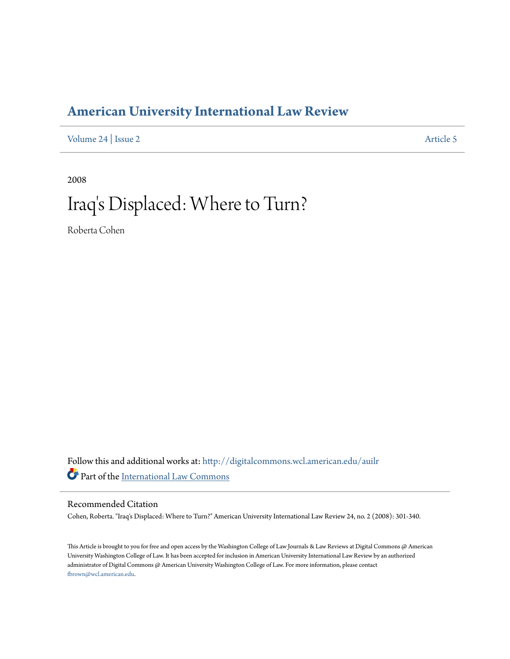# **[American University International Law Review](http://digitalcommons.wcl.american.edu/auilr?utm_source=digitalcommons.wcl.american.edu%2Fauilr%2Fvol24%2Fiss2%2F5&utm_medium=PDF&utm_campaign=PDFCoverPages)**

[Volume 24](http://digitalcommons.wcl.american.edu/auilr/vol24?utm_source=digitalcommons.wcl.american.edu%2Fauilr%2Fvol24%2Fiss2%2F5&utm_medium=PDF&utm_campaign=PDFCoverPages) | [Issue 2](http://digitalcommons.wcl.american.edu/auilr/vol24/iss2?utm_source=digitalcommons.wcl.american.edu%2Fauilr%2Fvol24%2Fiss2%2F5&utm_medium=PDF&utm_campaign=PDFCoverPages) [Article 5](http://digitalcommons.wcl.american.edu/auilr/vol24/iss2/5?utm_source=digitalcommons.wcl.american.edu%2Fauilr%2Fvol24%2Fiss2%2F5&utm_medium=PDF&utm_campaign=PDFCoverPages)

2008

# Iraq 's Displaced: Where to Turn?

Roberta Cohen

Follow this and additional works at: [http://digitalcommons.wcl.american.edu/auilr](http://digitalcommons.wcl.american.edu/auilr?utm_source=digitalcommons.wcl.american.edu%2Fauilr%2Fvol24%2Fiss2%2F5&utm_medium=PDF&utm_campaign=PDFCoverPages) Part of the [International Law Commons](http://network.bepress.com/hgg/discipline/609?utm_source=digitalcommons.wcl.american.edu%2Fauilr%2Fvol24%2Fiss2%2F5&utm_medium=PDF&utm_campaign=PDFCoverPages)

# Recommended Citation

Cohen, Roberta. "Iraq's Displaced: Where to Turn?" American University International Law Review 24, no. 2 (2008): 301-340.

This Article is brought to you for free and open access by the Washington College of Law Journals & Law Reviews at Digital Commons @ American University Washington College of Law. It has been accepted for inclusion in American University International Law Review by an authorized administrator of Digital Commons @ American University Washington College of Law. For more information, please contact [fbrown@wcl.american.edu](mailto:fbrown@wcl.american.edu).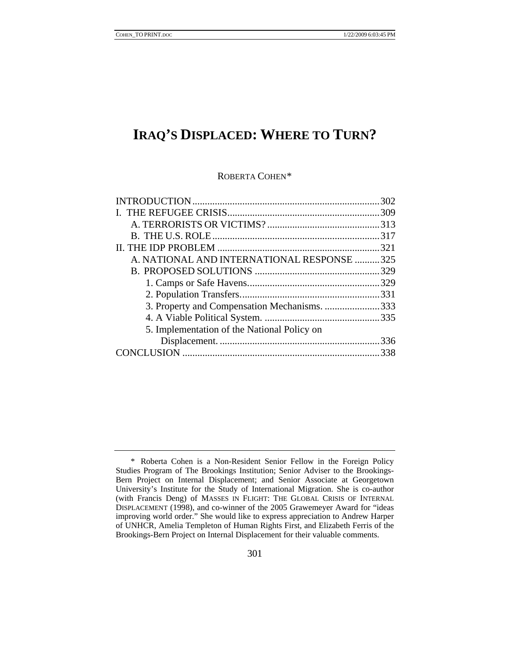# **IRAQ'S DISPLACED: WHERE TO TURN?**

ROBERTA COHEN[\\*](#page-1-0)

|                                              | .302 |
|----------------------------------------------|------|
|                                              |      |
|                                              |      |
|                                              |      |
|                                              |      |
| A. NATIONAL AND INTERNATIONAL RESPONSE 325   |      |
|                                              |      |
|                                              |      |
|                                              |      |
| 3. Property and Compensation Mechanisms. 333 |      |
|                                              |      |
| 5. Implementation of the National Policy on  |      |
|                                              | .336 |
|                                              | 338  |
|                                              |      |

<span id="page-1-0"></span> <sup>\*</sup> Roberta Cohen is a Non-Resident Senior Fellow in the Foreign Policy Studies Program of The Brookings Institution; Senior Adviser to the Brookings-Bern Project on Internal Displacement; and Senior Associate at Georgetown University's Institute for the Study of International Migration. She is co-author (with Francis Deng) of MASSES IN FLIGHT: THE GLOBAL CRISIS OF INTERNAL DISPLACEMENT (1998), and co-winner of the 2005 Grawemeyer Award for "ideas improving world order." She would like to express appreciation to Andrew Harper of UNHCR, Amelia Templeton of Human Rights First, and Elizabeth Ferris of the Brookings-Bern Project on Internal Displacement for their valuable comments.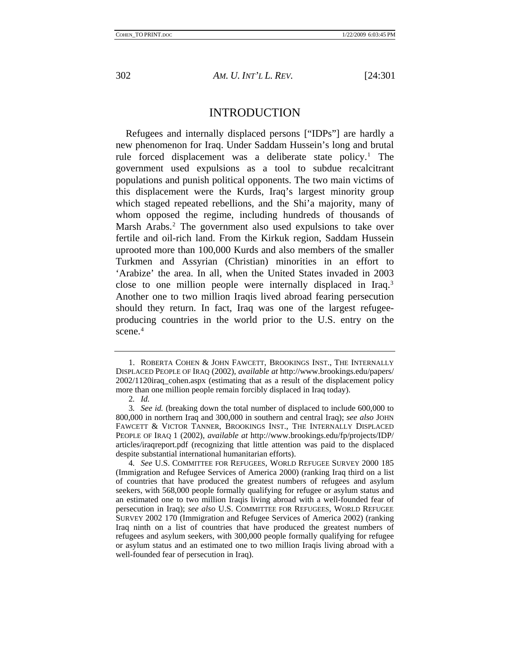<span id="page-2-0"></span>

# INTRODUCTION

Refugees and internally displaced persons ["IDPs"] are hardly a new phenomenon for Iraq. Under Saddam Hussein's long and brutal rule forced displacement was a deliberate state policy.<sup>[1](#page-2-1)</sup> The government used expulsions as a tool to subdue recalcitrant populations and punish political opponents. The two main victims of this displacement were the Kurds, Iraq's largest minority group which staged repeated rebellions, and the Shi'a majority, many of whom opposed the regime, including hundreds of thousands of Marsh Arabs.<sup>[2](#page-2-2)</sup> The government also used expulsions to take over fertile and oil-rich land. From the Kirkuk region, Saddam Hussein uprooted more than 100,000 Kurds and also members of the smaller Turkmen and Assyrian (Christian) minorities in an effort to 'Arabize' the area. In all, when the United States invaded in 2003 close to one million people were internally displaced in Iraq.[3](#page-2-3) Another one to two million Iraqis lived abroad fearing persecution should they return. In fact, Iraq was one of the largest refugeeproducing countries in the world prior to the U.S. entry on the scene.<sup>[4](#page-2-4)</sup>

<span id="page-2-1"></span><sup>1.</sup> ROBERTA COHEN & JOHN FAWCETT, BROOKINGS INST., THE INTERNALLY DISPLACED PEOPLE OF IRAQ (2002), *available at* http://www.brookings.edu/papers/ 2002/1120iraq\_cohen.aspx (estimating that as a result of the displacement policy more than one million people remain forcibly displaced in Iraq today).

<sup>2</sup>*. Id.*

<span id="page-2-3"></span><span id="page-2-2"></span><sup>3</sup>*. See id.* (breaking down the total number of displaced to include 600,000 to 800,000 in northern Iraq and 300,000 in southern and central Iraq); *see also* JOHN FAWCETT & VICTOR TANNER, BROOKINGS INST., THE INTERNALLY DISPLACED PEOPLE OF IRAQ 1 (2002), *available at* http://www.brookings.edu/fp/projects/IDP/ articles/iraqreport.pdf (recognizing that little attention was paid to the displaced despite substantial international humanitarian efforts).

<span id="page-2-4"></span><sup>4</sup>*. See* U.S. COMMITTEE FOR REFUGEES, WORLD REFUGEE SURVEY 2000 185 (Immigration and Refugee Services of America 2000) (ranking Iraq third on a list of countries that have produced the greatest numbers of refugees and asylum seekers, with 568,000 people formally qualifying for refugee or asylum status and an estimated one to two million Iraqis living abroad with a well-founded fear of persecution in Iraq); *see also* U.S. COMMITTEE FOR REFUGEES, WORLD REFUGEE SURVEY 2002 170 (Immigration and Refugee Services of America 2002) (ranking Iraq ninth on a list of countries that have produced the greatest numbers of refugees and asylum seekers, with 300,000 people formally qualifying for refugee or asylum status and an estimated one to two million Iraqis living abroad with a well-founded fear of persecution in Iraq).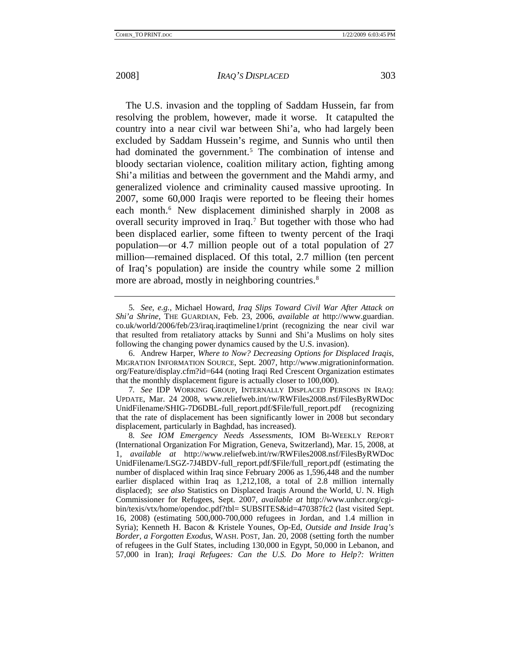The U.S. invasion and the toppling of Saddam Hussein, far from resolving the problem, however, made it worse. It catapulted the country into a near civil war between Shi'a, who had largely been excluded by Saddam Hussein's regime, and Sunnis who until then had dominated the government.<sup>[5](#page-3-0)</sup> The combination of intense and bloody sectarian violence, coalition military action, fighting among Shi'a militias and between the government and the Mahdi army, and generalized violence and criminality caused massive uprooting. In 2007, some 60,000 Iraqis were reported to be fleeing their homes each month.<sup>[6](#page-3-1)</sup> New displacement diminished sharply in 2008 as overall security improved in Iraq.<sup>[7](#page-3-2)</sup> But together with those who had been displaced earlier, some fifteen to twenty percent of the Iraqi population—or 4.7 million people out of a total population of 27 million—remained displaced. Of this total, 2.7 million (ten percent of Iraq's population) are inside the country while some 2 million more are abroad, mostly in neighboring countries.<sup>[8](#page-3-3)</sup>

<span id="page-3-0"></span><sup>5</sup>*. See, e.g.*, Michael Howard, *Iraq Slips Toward Civil War After Attack on Shi'a Shrine*, THE GUARDIAN, Feb. 23, 2006, *available at* http://www.guardian. co.uk/world/2006/feb/23/iraq.iraqtimeline1/print (recognizing the near civil war that resulted from retaliatory attacks by Sunni and Shi'a Muslims on holy sites following the changing power dynamics caused by the U.S. invasion).

<span id="page-3-1"></span><sup>6.</sup> Andrew Harper, *Where to Now? Decreasing Options for Displaced Iraqis*, MIGRATION INFORMATION SOURCE, Sept. 2007, http://www.migrationinformation. org/Feature/display.cfm?id=644 (noting Iraqi Red Crescent Organization estimates that the monthly displacement figure is actually closer to 100,000).

<span id="page-3-2"></span><sup>7</sup>*. See* IDP WORKING GROUP, INTERNALLY DISPLACED PERSONS IN IRAQ: UPDATE, Mar. 24 2008, www.reliefweb.int/rw/RWFiles2008.nsf/FilesByRWDoc UnidFilename/SHIG-7D6DBL-full\_report.pdf/\$File/full\_report.pdf (recognizing that the rate of displacement has been significantly lower in 2008 but secondary displacement, particularly in Baghdad, has increased).

<span id="page-3-3"></span><sup>8</sup>*. See IOM Emergency Needs Assessments*, IOM BI-WEEKLY REPORT (International Organization For Migration, Geneva, Switzerland), Mar. 15, 2008, at 1, *available at* http://www.reliefweb.int/rw/RWFiles2008.nsf/FilesByRWDoc UnidFilename/LSGZ-7J4BDV-full\_report.pdf/\$File/full\_report.pdf (estimating the number of displaced within Iraq since February 2006 as 1,596,448 and the number earlier displaced within Iraq as 1,212,108, a total of 2.8 million internally displaced); *see also* Statistics on Displaced Iraqis Around the World, U. N. High Commissioner for Refugees, Sept. 2007, *available at* http://www.unhcr.org/cgibin/texis/vtx/home/opendoc.pdf?tbl= SUBSITES&id=470387fc2 (last visited Sept. 16, 2008) (estimating 500,000-700,000 refugees in Jordan, and 1.4 million in Syria); Kenneth H. Bacon & Kristele Younes, Op-Ed, *Outside and Inside Iraq's Border, a Forgotten Exodus*, WASH. POST, Jan. 20, 2008 (setting forth the number of refugees in the Gulf States, including 130,000 in Egypt, 50,000 in Lebanon, and 57,000 in Iran); *Iraqi Refugees: Can the U.S. Do More to Help?: Written*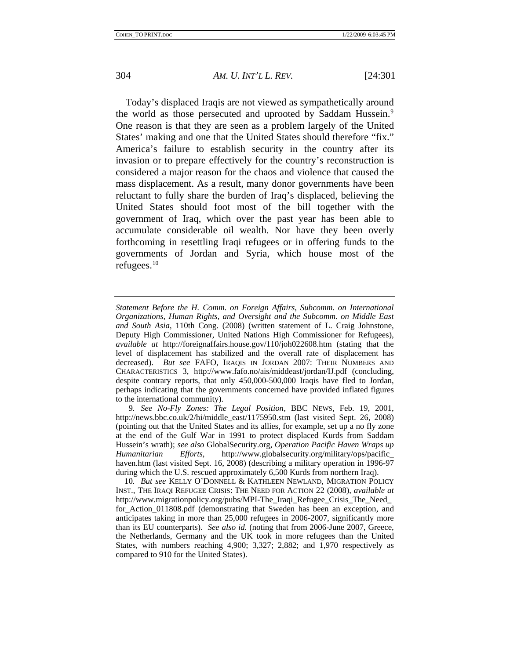Today's displaced Iraqis are not viewed as sympathetically around the world as those persecuted and uprooted by Saddam Hussein.<sup>[9](#page-4-0)</sup> One reason is that they are seen as a problem largely of the United States' making and one that the United States should therefore "fix." America's failure to establish security in the country after its invasion or to prepare effectively for the country's reconstruction is considered a major reason for the chaos and violence that caused the mass displacement. As a result, many donor governments have been reluctant to fully share the burden of Iraq's displaced, believing the United States should foot most of the bill together with the government of Iraq, which over the past year has been able to accumulate considerable oil wealth. Nor have they been overly forthcoming in resettling Iraqi refugees or in offering funds to the governments of Jordan and Syria, which house most of the refugees.[10](#page-4-1)

*Statement Before the H. Comm. on Foreign Affairs, Subcomm. on International Organizations, Human Rights, and Oversight and the Subcomm. on Middle East and South Asia*, 110th Cong. (2008) (written statement of L. Craig Johnstone, Deputy High Commissioner, United Nations High Commissioner for Refugees), *available at* http://foreignaffairs.house.gov/110/joh022608.htm (stating that the level of displacement has stabilized and the overall rate of displacement has decreased). *But see* FAFO, IRAQIS IN JORDAN 2007: THEIR NUMBERS AND CHARACTERISTICS 3, http://www.fafo.no/ais/middeast/jordan/IJ.pdf (concluding, despite contrary reports, that only 450,000-500,000 Iraqis have fled to Jordan, perhaps indicating that the governments concerned have provided inflated figures to the international community).

<span id="page-4-0"></span><sup>9</sup>*. See No-Fly Zones: The Legal Position*, BBC NEWS, Feb. 19, 2001, http://news.bbc.co.uk/2/hi/middle\_east/1175950.stm (last visited Sept. 26, 2008) (pointing out that the United States and its allies, for example, set up a no fly zone at the end of the Gulf War in 1991 to protect displaced Kurds from Saddam Hussein's wrath); *see also* GlobalSecurity.org, *Operation Pacific Haven Wraps up Humanitarian Efforts*, http://www.globalsecurity.org/military/ops/pacific\_ haven.htm (last visited Sept. 16, 2008) (describing a military operation in 1996-97 during which the U.S. rescued approximately 6,500 Kurds from northern Iraq).

<span id="page-4-1"></span><sup>10</sup>*. But see* KELLY O'DONNELL & KATHLEEN NEWLAND, MIGRATION POLICY INST., THE IRAQI REFUGEE CRISIS: THE NEED FOR ACTION 22 (2008), *available at* http://www.migrationpolicy.org/pubs/MPI-The Iraqi Refugee Crisis The Need for Action 011808.pdf (demonstrating that Sweden has been an exception, and anticipates taking in more than 25,000 refugees in 2006-2007, significantly more than its EU counterparts). *See also id.* (noting that from 2006-June 2007, Greece, the Netherlands, Germany and the UK took in more refugees than the United States, with numbers reaching 4,900; 3,327; 2,882; and 1,970 respectively as compared to 910 for the United States).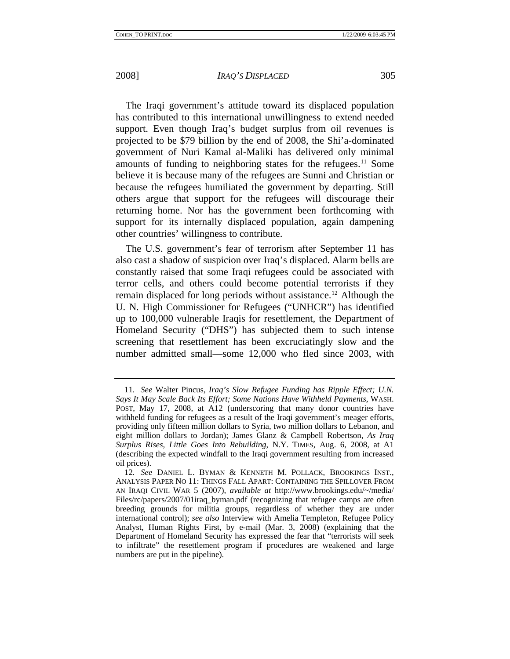The Iraqi government's attitude toward its displaced population has contributed to this international unwillingness to extend needed support. Even though Iraq's budget surplus from oil revenues is projected to be \$79 billion by the end of 2008, the Shi'a-dominated government of Nuri Kamal al-Maliki has delivered only minimal amounts of funding to neighboring states for the refugees.<sup>[11](#page-5-0)</sup> Some believe it is because many of the refugees are Sunni and Christian or because the refugees humiliated the government by departing. Still others argue that support for the refugees will discourage their returning home. Nor has the government been forthcoming with support for its internally displaced population, again dampening other countries' willingness to contribute.

The U.S. government's fear of terrorism after September 11 has also cast a shadow of suspicion over Iraq's displaced. Alarm bells are constantly raised that some Iraqi refugees could be associated with terror cells, and others could become potential terrorists if they remain displaced for long periods without assistance.<sup>[12](#page-5-1)</sup> Although the U. N. High Commissioner for Refugees ("UNHCR") has identified up to 100,000 vulnerable Iraqis for resettlement, the Department of Homeland Security ("DHS") has subjected them to such intense screening that resettlement has been excruciatingly slow and the number admitted small—some 12,000 who fled since 2003, with

<span id="page-5-0"></span><sup>11</sup>*. See* Walter Pincus, *Iraq's Slow Refugee Funding has Ripple Effect; U.N. Says It May Scale Back Its Effort; Some Nations Have Withheld Payments*, WASH. POST, May 17, 2008, at A12 (underscoring that many donor countries have withheld funding for refugees as a result of the Iraqi government's meager efforts, providing only fifteen million dollars to Syria, two million dollars to Lebanon, and eight million dollars to Jordan); James Glanz & Campbell Robertson, *As Iraq Surplus Rises, Little Goes Into Rebuilding*, N.Y. TIMES, Aug. 6, 2008, at A1 (describing the expected windfall to the Iraqi government resulting from increased oil prices).

<span id="page-5-1"></span><sup>12</sup>*. See* DANIEL L. BYMAN & KENNETH M. POLLACK, BROOKINGS INST., ANALYSIS PAPER NO 11: THINGS FALL APART: CONTAINING THE SPILLOVER FROM AN IRAQI CIVIL WAR 5 (2007), *available at* http://www.brookings.edu/~/media/ Files/rc/papers/2007/01iraq byman.pdf (recognizing that refugee camps are often breeding grounds for militia groups, regardless of whether they are under international control); *see also* Interview with Amelia Templeton, Refugee Policy Analyst, Human Rights First, by e-mail (Mar. 3, 2008) (explaining that the Department of Homeland Security has expressed the fear that "terrorists will seek to infiltrate" the resettlement program if procedures are weakened and large numbers are put in the pipeline).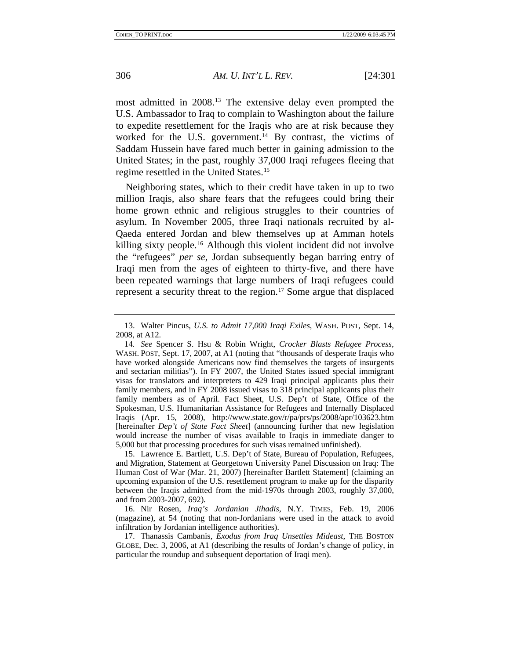most admitted in 2008.[13](#page-6-0) The extensive delay even prompted the U.S. Ambassador to Iraq to complain to Washington about the failure to expedite resettlement for the Iraqis who are at risk because they worked for the U.S. government.<sup>[14](#page-6-1)</sup> By contrast, the victims of Saddam Hussein have fared much better in gaining admission to the United States; in the past, roughly 37,000 Iraqi refugees fleeing that regime resettled in the United States.<sup>[15](#page-6-2)</sup>

Neighboring states, which to their credit have taken in up to two million Iraqis, also share fears that the refugees could bring their home grown ethnic and religious struggles to their countries of asylum. In November 2005, three Iraqi nationals recruited by al-Qaeda entered Jordan and blew themselves up at Amman hotels killing sixty people.<sup>[16](#page-6-3)</sup> Although this violent incident did not involve the "refugees" *per se*, Jordan subsequently began barring entry of Iraqi men from the ages of eighteen to thirty-five, and there have been repeated warnings that large numbers of Iraqi refugees could represent a security threat to the region.<sup>[17](#page-6-4)</sup> Some argue that displaced

<span id="page-6-2"></span>15. Lawrence E. Bartlett, U.S. Dep't of State, Bureau of Population, Refugees, and Migration, Statement at Georgetown University Panel Discussion on Iraq: The Human Cost of War (Mar. 21, 2007) [hereinafter Bartlett Statement] (claiming an upcoming expansion of the U.S. resettlement program to make up for the disparity between the Iraqis admitted from the mid-1970s through 2003, roughly 37,000, and from 2003-2007, 692).

<span id="page-6-3"></span>16. Nir Rosen, *Iraq's Jordanian Jihadis*, N.Y. TIMES, Feb. 19, 2006 (magazine), at 54 (noting that non-Jordanians were used in the attack to avoid infiltration by Jordanian intelligence authorities).

<span id="page-6-4"></span>17. Thanassis Cambanis, *Exodus from Iraq Unsettles Mideast*, THE BOSTON GLOBE, Dec. 3, 2006, at A1 (describing the results of Jordan's change of policy, in particular the roundup and subsequent deportation of Iraqi men).

<span id="page-6-0"></span><sup>13.</sup> Walter Pincus, *U.S. to Admit 17,000 Iraqi Exiles*, WASH. POST, Sept. 14, 2008, at A12.

<span id="page-6-1"></span><sup>14</sup>*. See* Spencer S. Hsu & Robin Wright, *Crocker Blasts Refugee Process*, WASH. POST, Sept. 17, 2007, at A1 (noting that "thousands of desperate Iraqis who have worked alongside Americans now find themselves the targets of insurgents and sectarian militias"). In FY 2007, the United States issued special immigrant visas for translators and interpreters to 429 Iraqi principal applicants plus their family members, and in FY 2008 issued visas to 318 principal applicants plus their family members as of April. Fact Sheet, U.S. Dep't of State, Office of the Spokesman, U.S. Humanitarian Assistance for Refugees and Internally Displaced Iraqis (Apr. 15, 2008), http://www.state.gov/r/pa/prs/ps/2008/apr/103623.htm [hereinafter *Dep't of State Fact Sheet*] (announcing further that new legislation would increase the number of visas available to Iraqis in immediate danger to 5,000 but that processing procedures for such visas remained unfinished).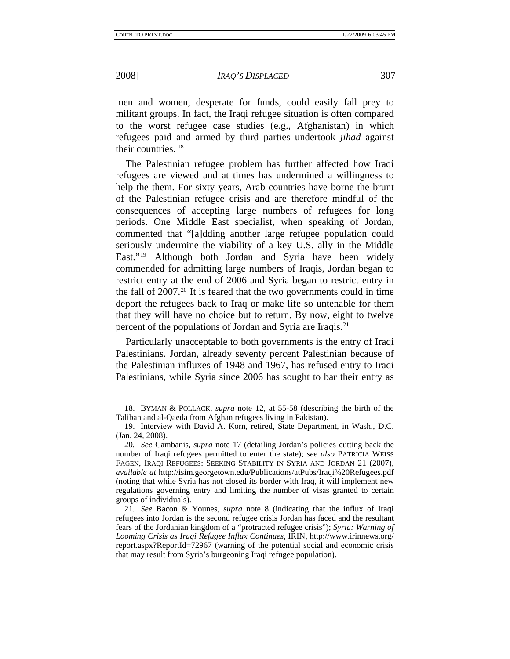men and women, desperate for funds, could easily fall prey to militant groups. In fact, the Iraqi refugee situation is often compared to the worst refugee case studies (e.g., Afghanistan) in which refugees paid and armed by third parties undertook *jihad* against their countries. [18](#page-7-0)

The Palestinian refugee problem has further affected how Iraqi refugees are viewed and at times has undermined a willingness to help the them. For sixty years, Arab countries have borne the brunt of the Palestinian refugee crisis and are therefore mindful of the consequences of accepting large numbers of refugees for long periods. One Middle East specialist, when speaking of Jordan, commented that "[a]dding another large refugee population could seriously undermine the viability of a key U.S. ally in the Middle East."[19](#page-7-1) Although both Jordan and Syria have been widely commended for admitting large numbers of Iraqis, Jordan began to restrict entry at the end of 2006 and Syria began to restrict entry in the fall of  $2007<sup>20</sup>$  $2007<sup>20</sup>$  It is feared that the two governments could in time deport the refugees back to Iraq or make life so untenable for them that they will have no choice but to return. By now, eight to twelve percent of the populations of Jordan and Syria are Iraqis.[21](#page-7-3)

Particularly unacceptable to both governments is the entry of Iraqi Palestinians. Jordan, already seventy percent Palestinian because of the Palestinian influxes of 1948 and 1967, has refused entry to Iraqi Palestinians, while Syria since 2006 has sought to bar their entry as

<span id="page-7-0"></span><sup>18.</sup> BYMAN & POLLACK, *supra* note 12, at 55-58 (describing the birth of the Taliban and al-Qaeda from Afghan refugees living in Pakistan).

<span id="page-7-1"></span><sup>19.</sup> Interview with David A. Korn, retired, State Department, in Wash., D.C. (Jan. 24, 2008).

<span id="page-7-2"></span><sup>20</sup>*. See* Cambanis, *supra* note 17 (detailing Jordan's policies cutting back the number of Iraqi refugees permitted to enter the state); *see also* PATRICIA WEISS FAGEN, IRAQI REFUGEES: SEEKING STABILITY IN SYRIA AND JORDAN 21 (2007), *available at* http://isim.georgetown.edu/Publications/atPubs/Iraqi%20Refugees.pdf (noting that while Syria has not closed its border with Iraq, it will implement new regulations governing entry and limiting the number of visas granted to certain groups of individuals).

<span id="page-7-3"></span><sup>21</sup>*. See* Bacon & Younes, *supra* note 8 (indicating that the influx of Iraqi refugees into Jordan is the second refugee crisis Jordan has faced and the resultant fears of the Jordanian kingdom of a "protracted refugee crisis"); *Syria: Warning of Looming Crisis as Iraqi Refugee Influx Continues*, IRIN, http://www.irinnews.org/ report.aspx?ReportId=72967 (warning of the potential social and economic crisis that may result from Syria's burgeoning Iraqi refugee population).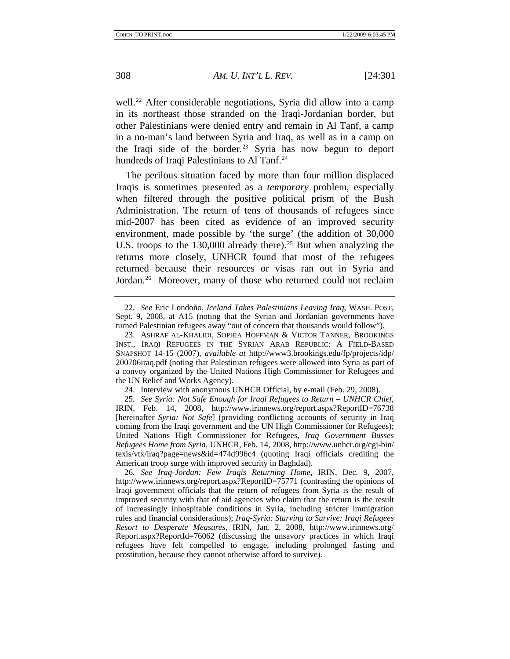well.<sup>[22](#page-8-0)</sup> After considerable negotiations, Syria did allow into a camp in its northeast those stranded on the Iraqi-Jordanian border, but other Palestinians were denied entry and remain in Al Tanf, a camp in a no-man's land between Syria and Iraq, as well as in a camp on the Iraqi side of the border.<sup>[23](#page-8-1)</sup> Syria has now begun to deport hundreds of Iraqi Palestinians to Al Tanf.<sup>[24](#page-8-2)</sup>

The perilous situation faced by more than four million displaced Iraqis is sometimes presented as a *temporary* problem, especially when filtered through the positive political prism of the Bush Administration. The return of tens of thousands of refugees since mid-2007 has been cited as evidence of an improved security environment, made possible by 'the surge' (the addition of 30,000 U.S. troops to the  $130,000$  already there).<sup>[25](#page-8-3)</sup> But when analyzing the returns more closely, UNHCR found that most of the refugees returned because their resources or visas ran out in Syria and Jordan.<sup>[26](#page-8-4)</sup> Moreover, many of those who returned could not reclaim

<span id="page-8-0"></span><sup>22</sup>*. See* Eric Londoño, *Iceland Takes Palestinians Leaving Iraq*, WASH. POST, Sept. 9, 2008, at A15 (noting that the Syrian and Jordanian governments have turned Palestinian refugees away "out of concern that thousands would follow").

<span id="page-8-1"></span><sup>23.</sup> ASHRAF AL-KHALIDI, SOPHIA HOFFMAN & VICTOR TANNER, BROOKINGS INST., IRAQI REFUGEES IN THE SYRIAN ARAB REPUBLIC: A FIELD-BASED SNAPSHOT 14-15 (2007), *available at* http://www3.brookings.edu/fp/projects/idp/ 200706iraq.pdf (noting that Palestinian refugees were allowed into Syria as part of a convoy organized by the United Nations High Commissioner for Refugees and the UN Relief and Works Agency).

<sup>24.</sup> Interview with anonymous UNHCR Official, by e-mail (Feb. 29, 2008).

<span id="page-8-3"></span><span id="page-8-2"></span><sup>25</sup>*. See Syria: Not Safe Enough for Iraqi Refugees to Return – UNHCR Chief*, IRIN, Feb. 14, 2008, http://www.irinnews.org/report.aspx?ReportID=76738 [hereinafter *Syria: Not Safe*] (providing conflicting accounts of security in Iraq coming from the Iraqi government and the UN High Commissioner for Refugees); United Nations High Commissioner for Refugees, *Iraq Government Busses Refugees Home from Syria*, UNHCR, Feb. 14, 2008, http://www.unhcr.org/cgi-bin/ texis/vtx/iraq?page=news&id=474d996c4 (quoting Iraqi officials crediting the American troop surge with improved security in Baghdad).

<span id="page-8-4"></span><sup>26</sup>*. See Iraq-Jordan: Few Iraqis Returning Home*, IRIN, Dec. 9, 2007, http://www.irinnews.org/report.aspx?ReportID=75771 (contrasting the opinions of Iraqi government officials that the return of refugees from Syria is the result of improved security with that of aid agencies who claim that the return is the result of increasingly inhospitable conditions in Syria, including stricter immigration rules and financial considerations); *Iraq-Syria: Starving to Survive: Iraqi Refugees Resort to Desperate Measures*, IRIN, Jan. 2, 2008, http://www.irinnews.org/ Report.aspx?ReportId=76062 (discussing the unsavory practices in which Iraqi refugees have felt compelled to engage, including prolonged fasting and prostitution, because they cannot otherwise afford to survive).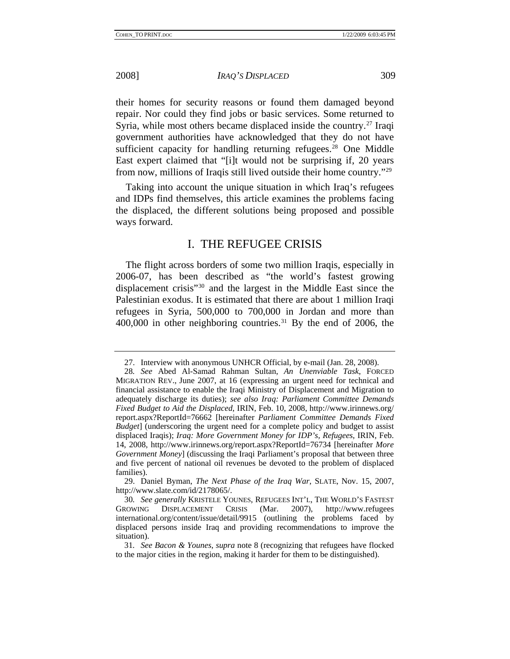<span id="page-9-0"></span>

their homes for security reasons or found them damaged beyond repair. Nor could they find jobs or basic services. Some returned to Syria, while most others became displaced inside the country.<sup>[27](#page-9-1)</sup> Iraqi government authorities have acknowledged that they do not have sufficient capacity for handling returning refugees.<sup>[28](#page-9-2)</sup> One Middle East expert claimed that "[i]t would not be surprising if, 20 years from now, millions of Iraqis still lived outside their home country.["29](#page-9-3)

Taking into account the unique situation in which Iraq's refugees and IDPs find themselves, this article examines the problems facing the displaced, the different solutions being proposed and possible ways forward.

# I. THE REFUGEE CRISIS

The flight across borders of some two million Iraqis, especially in 2006-07, has been described as "the world's fastest growing displacement crisis["30](#page-9-4) and the largest in the Middle East since the Palestinian exodus. It is estimated that there are about 1 million Iraqi refugees in Syria, 500,000 to 700,000 in Jordan and more than  $400,000$  in other neighboring countries.<sup>[31](#page-9-5)</sup> By the end of 2006, the

<sup>27.</sup> Interview with anonymous UNHCR Official, by e-mail (Jan. 28, 2008).

<span id="page-9-2"></span><span id="page-9-1"></span><sup>28</sup>*. See* Abed Al-Samad Rahman Sultan, *An Unenviable Task*, FORCED MIGRATION REV., June 2007, at 16 (expressing an urgent need for technical and financial assistance to enable the Iraqi Ministry of Displacement and Migration to adequately discharge its duties); *see also Iraq: Parliament Committee Demands Fixed Budget to Aid the Displaced*, IRIN, Feb. 10, 2008, http://www.irinnews.org/ report.aspx?ReportId=76662 [hereinafter *Parliament Committee Demands Fixed Budget*] (underscoring the urgent need for a complete policy and budget to assist displaced Iraqis); *Iraq: More Government Money for IDP's, Refugees*, IRIN, Feb. 14, 2008, http://www.irinnews.org/report.aspx?ReportId=76734 [hereinafter *More Government Money*] (discussing the Iraqi Parliament's proposal that between three and five percent of national oil revenues be devoted to the problem of displaced families).

<span id="page-9-3"></span><sup>29.</sup> Daniel Byman, *The Next Phase of the Iraq War*, SLATE, Nov. 15, 2007, http://www.slate.com/id/2178065/.

<span id="page-9-4"></span><sup>30</sup>*. See generally* KRISTELE YOUNES, REFUGEES INT'L, THE WORLD'S FASTEST GROWING DISPLACEMENT CRISIS (Mar. 2007), http://www.refugees international.org/content/issue/detail/9915 (outlining the problems faced by displaced persons inside Iraq and providing recommendations to improve the situation).

<span id="page-9-5"></span><sup>31</sup>*. See Bacon & Younes*, *supra* note 8 (recognizing that refugees have flocked to the major cities in the region, making it harder for them to be distinguished).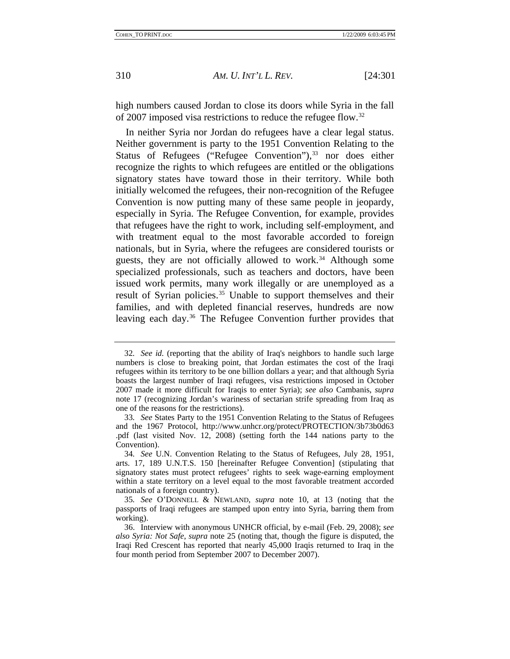high numbers caused Jordan to close its doors while Syria in the fall of 2007 imposed visa restrictions to reduce the refugee flow.[32](#page-10-0)

In neither Syria nor Jordan do refugees have a clear legal status. Neither government is party to the 1951 Convention Relating to the Status of Refugees ("Refugee Convention"),  $33$  nor does either recognize the rights to which refugees are entitled or the obligations signatory states have toward those in their territory. While both initially welcomed the refugees, their non-recognition of the Refugee Convention is now putting many of these same people in jeopardy, especially in Syria. The Refugee Convention, for example, provides that refugees have the right to work, including self-employment, and with treatment equal to the most favorable accorded to foreign nationals, but in Syria, where the refugees are considered tourists or guests, they are not officially allowed to work.<sup>[34](#page-10-2)</sup> Although some specialized professionals, such as teachers and doctors, have been issued work permits, many work illegally or are unemployed as a result of Syrian policies.<sup>[35](#page-10-3)</sup> Unable to support themselves and their families, and with depleted financial reserves, hundreds are now leaving each day.[36](#page-10-4) The Refugee Convention further provides that

<span id="page-10-0"></span><sup>32</sup>*. See id.* (reporting that the ability of Iraq's neighbors to handle such large numbers is close to breaking point, that Jordan estimates the cost of the Iraqi refugees within its territory to be one billion dollars a year; and that although Syria boasts the largest number of Iraqi refugees, visa restrictions imposed in October 2007 made it more difficult for Iraqis to enter Syria); *see also* Cambanis, *supra* note 17 (recognizing Jordan's wariness of sectarian strife spreading from Iraq as one of the reasons for the restrictions).

<span id="page-10-1"></span><sup>33</sup>*. See* States Party to the 1951 Convention Relating to the Status of Refugees and the 1967 Protocol, http://www.unhcr.org/protect/PROTECTION/3b73b0d63 .pdf (last visited Nov. 12, 2008) (setting forth the 144 nations party to the Convention).

<span id="page-10-2"></span><sup>34</sup>*. See* U.N. Convention Relating to the Status of Refugees, July 28, 1951, arts. 17, 189 U.N.T.S. 150 [hereinafter Refugee Convention] (stipulating that signatory states must protect refugees' rights to seek wage-earning employment within a state territory on a level equal to the most favorable treatment accorded nationals of a foreign country).

<span id="page-10-3"></span><sup>35</sup>*. See* O'DONNELL & NEWLAND, *supra* note 10, at 13 (noting that the passports of Iraqi refugees are stamped upon entry into Syria, barring them from working).

<span id="page-10-4"></span><sup>36.</sup> Interview with anonymous UNHCR official, by e-mail (Feb. 29, 2008); *see also Syria: Not Safe*, *supra* note 25 (noting that, though the figure is disputed, the Iraqi Red Crescent has reported that nearly 45,000 Iraqis returned to Iraq in the four month period from September 2007 to December 2007).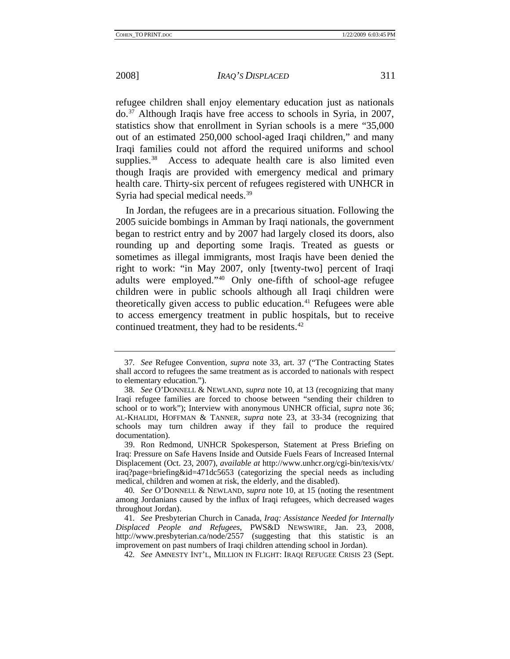refugee children shall enjoy elementary education just as nationals do.[37](#page-11-0) Although Iraqis have free access to schools in Syria, in 2007, statistics show that enrollment in Syrian schools is a mere "35,000 out of an estimated 250,000 school-aged Iraqi children," and many Iraqi families could not afford the required uniforms and school supplies.<sup>[38](#page-11-1)</sup> Access to adequate health care is also limited even though Iraqis are provided with emergency medical and primary health care. Thirty-six percent of refugees registered with UNHCR in Syria had special medical needs.<sup>[39](#page-11-2)</sup>

In Jordan, the refugees are in a precarious situation. Following the 2005 suicide bombings in Amman by Iraqi nationals, the government began to restrict entry and by 2007 had largely closed its doors, also rounding up and deporting some Iraqis. Treated as guests or sometimes as illegal immigrants, most Iraqis have been denied the right to work: "in May 2007, only [twenty-two] percent of Iraqi adults were employed."[40](#page-11-3) Only one-fifth of school-age refugee children were in public schools although all Iraqi children were theoretically given access to public education. $41$  Refugees were able to access emergency treatment in public hospitals, but to receive continued treatment, they had to be residents.<sup>42</sup>

<span id="page-11-0"></span><sup>37</sup>*. See* Refugee Convention, *supra* note 33, art. 37 ("The Contracting States shall accord to refugees the same treatment as is accorded to nationals with respect to elementary education.").

<span id="page-11-1"></span><sup>38</sup>*. See* O'DONNELL & NEWLAND, *supra* note 10, at 13 (recognizing that many Iraqi refugee families are forced to choose between "sending their children to school or to work"); Interview with anonymous UNHCR official, *supra* note 36; AL-KHALIDI, HOFFMAN & TANNER, *supra* note 23, at 33-34 (recognizing that schools may turn children away if they fail to produce the required documentation).

<span id="page-11-2"></span><sup>39.</sup> Ron Redmond, UNHCR Spokesperson, Statement at Press Briefing on Iraq: Pressure on Safe Havens Inside and Outside Fuels Fears of Increased Internal Displacement (Oct. 23, 2007), *available at* http://www.unhcr.org/cgi-bin/texis/vtx/ iraq?page=briefing&id=471dc5653 (categorizing the special needs as including medical, children and women at risk, the elderly, and the disabled).

<span id="page-11-3"></span><sup>40</sup>*. See* O'DONNELL & NEWLAND, *supra* note 10, at 15 (noting the resentment among Jordanians caused by the influx of Iraqi refugees, which decreased wages throughout Jordan).

<span id="page-11-5"></span><span id="page-11-4"></span><sup>41</sup>*. See* Presbyterian Church in Canada, *Iraq: Assistance Needed for Internally Displaced People and Refugees*, PWS&D NEWSWIRE, Jan. 23, 2008, http://www.presbyterian.ca/node/2557 (suggesting that this statistic is an improvement on past numbers of Iraqi children attending school in Jordan).

<sup>42</sup>*. See* AMNESTY INT'L, MILLION IN FLIGHT: IRAQI REFUGEE CRISIS 23 (Sept.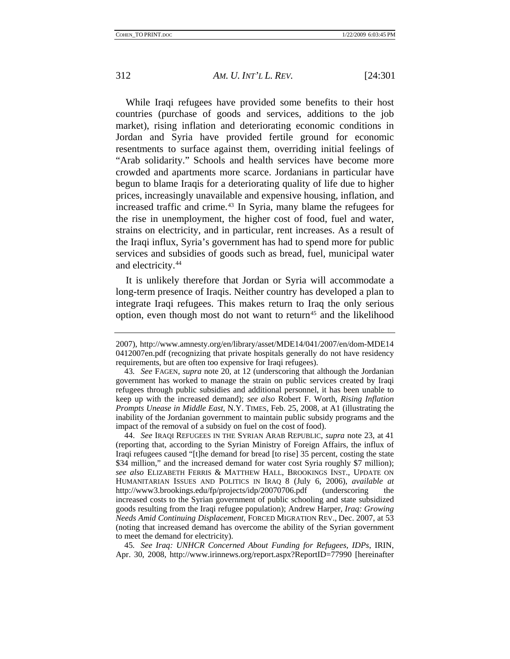While Iraqi refugees have provided some benefits to their host countries (purchase of goods and services, additions to the job market), rising inflation and deteriorating economic conditions in Jordan and Syria have provided fertile ground for economic resentments to surface against them, overriding initial feelings of "Arab solidarity." Schools and health services have become more crowded and apartments more scarce. Jordanians in particular have begun to blame Iraqis for a deteriorating quality of life due to higher prices, increasingly unavailable and expensive housing, inflation, and increased traffic and crime.<sup>[43](#page-12-0)</sup> In Syria, many blame the refugees for the rise in unemployment, the higher cost of food, fuel and water, strains on electricity, and in particular, rent increases. As a result of the Iraqi influx, Syria's government has had to spend more for public services and subsidies of goods such as bread, fuel, municipal water and electricity.[44](#page-12-1)

It is unlikely therefore that Jordan or Syria will accommodate a long-term presence of Iraqis. Neither country has developed a plan to integrate Iraqi refugees. This makes return to Iraq the only serious option, even though most do not want to return<sup>[45](#page-12-2)</sup> and the likelihood

<span id="page-12-2"></span>45*. See Iraq: UNHCR Concerned About Funding for Refugees, IDPs*, IRIN, Apr. 30, 2008, http://www.irinnews.org/report.aspx?ReportID=77990 [hereinafter

<sup>2007),</sup> http://www.amnesty.org/en/library/asset/MDE14/041/2007/en/dom-MDE14 0412007en.pdf (recognizing that private hospitals generally do not have residency requirements, but are often too expensive for Iraqi refugees).

<span id="page-12-0"></span><sup>43</sup>*. See* FAGEN, *supra* note 20, at 12 (underscoring that although the Jordanian government has worked to manage the strain on public services created by Iraqi refugees through public subsidies and additional personnel, it has been unable to keep up with the increased demand); *see also* Robert F. Worth, *Rising Inflation Prompts Unease in Middle East*, N.Y. TIMES, Feb. 25, 2008, at A1 (illustrating the inability of the Jordanian government to maintain public subsidy programs and the impact of the removal of a subsidy on fuel on the cost of food).

<span id="page-12-1"></span><sup>44.</sup> *See* IRAQI REFUGEES IN THE SYRIAN ARAB REPUBLIC, *supra* note 23, at 41 (reporting that, according to the Syrian Ministry of Foreign Affairs, the influx of Iraqi refugees caused "[t]he demand for bread [to rise] 35 percent, costing the state \$34 million," and the increased demand for water cost Syria roughly \$7 million); *see also* ELIZABETH FERRIS & MATTHEW HALL, BROOKINGS INST., UPDATE ON HUMANITARIAN ISSUES AND POLITICS IN IRAQ 8 (July 6, 2006), *available at* http://www3.brookings.edu/fp/projects/idp/20070706.pdf (underscoring the increased costs to the Syrian government of public schooling and state subsidized goods resulting from the Iraqi refugee population); Andrew Harper, *Iraq: Growing Needs Amid Continuing Displacement*, FORCED MIGRATION REV., Dec. 2007, at 53 (noting that increased demand has overcome the ability of the Syrian government to meet the demand for electricity).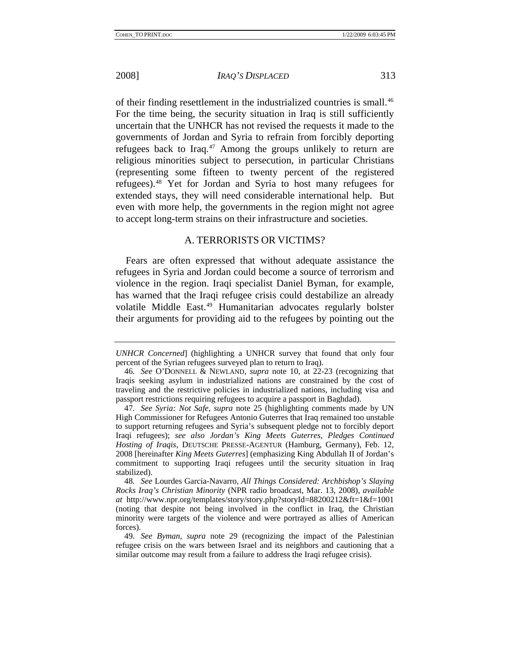<span id="page-13-0"></span>

of their finding resettlement in the industrialized countries is small[.46](#page-13-1) For the time being, the security situation in Iraq is still sufficiently uncertain that the UNHCR has not revised the requests it made to the governments of Jordan and Syria to refrain from forcibly deporting refugees back to Iraq.<sup>[47](#page-13-2)</sup> Among the groups unlikely to return are religious minorities subject to persecution, in particular Christians (representing some fifteen to twenty percent of the registered refugees).[48](#page-13-3) Yet for Jordan and Syria to host many refugees for extended stays, they will need considerable international help. But even with more help, the governments in the region might not agree to accept long-term strains on their infrastructure and societies.

# A. TERRORISTS OR VICTIMS?

Fears are often expressed that without adequate assistance the refugees in Syria and Jordan could become a source of terrorism and violence in the region. Iraqi specialist Daniel Byman, for example, has warned that the Iraqi refugee crisis could destabilize an already volatile Middle East.<sup>[49](#page-13-4)</sup> Humanitarian advocates regularly bolster their arguments for providing aid to the refugees by pointing out the

<span id="page-13-3"></span>48*. See* Lourdes Garcia-Navarro, *All Things Considered: Archbishop's Slaying Rocks Iraq's Christian Minority* (NPR radio broadcast, Mar. 13, 2008), *available at* http://www.npr.org/templates/story/story.php?storyId=88200212&ft=1&f=1001 (noting that despite not being involved in the conflict in Iraq, the Christian minority were targets of the violence and were portrayed as allies of American forces).

*UNHCR Concerned*] (highlighting a UNHCR survey that found that only four percent of the Syrian refugees surveyed plan to return to Iraq).

<span id="page-13-1"></span><sup>46</sup>*. See* O'DONNELL & NEWLAND, *supra* note 10, at 22-23 (recognizing that Iraqis seeking asylum in industrialized nations are constrained by the cost of traveling and the restrictive policies in industrialized nations, including visa and passport restrictions requiring refugees to acquire a passport in Baghdad).

<span id="page-13-2"></span><sup>47</sup>*. See Syria: Not Safe*, *supra* note 25 (highlighting comments made by UN High Commissioner for Refugees Antonio Guterres that Iraq remained too unstable to support returning refugees and Syria's subsequent pledge not to forcibly deport Iraqi refugees); *see also Jordan's King Meets Guterres, Pledges Continued Hosting of Iraqis*, DEUTSCHE PRESSE-AGENTUR (Hamburg, Germany), Feb. 12, 2008 [hereinafter *King Meets Guterres*] (emphasizing King Abdullah II of Jordan's commitment to supporting Iraqi refugees until the security situation in Iraq stabilized).

<span id="page-13-4"></span><sup>49</sup>*. See Byman*, *supra* note 29 (recognizing the impact of the Palestinian refugee crisis on the wars between Israel and its neighbors and cautioning that a similar outcome may result from a failure to address the Iraqi refugee crisis).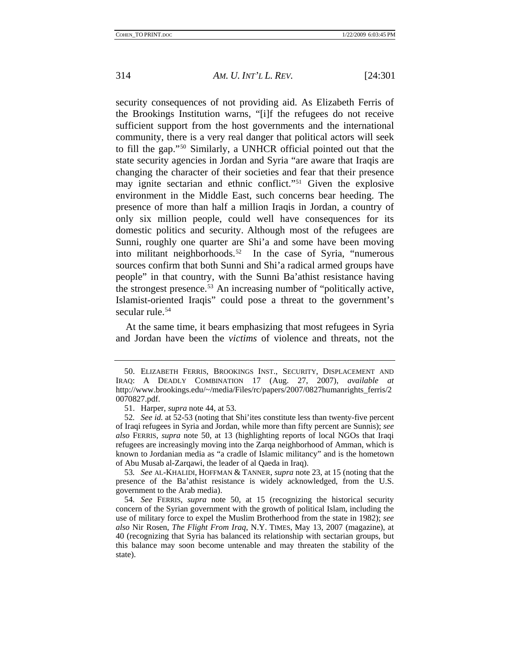security consequences of not providing aid. As Elizabeth Ferris of the Brookings Institution warns, "[i]f the refugees do not receive sufficient support from the host governments and the international community, there is a very real danger that political actors will seek to fill the gap."[50](#page-14-0) Similarly, a UNHCR official pointed out that the state security agencies in Jordan and Syria "are aware that Iraqis are changing the character of their societies and fear that their presence may ignite sectarian and ethnic conflict."[51](#page-14-1) Given the explosive environment in the Middle East, such concerns bear heeding. The presence of more than half a million Iraqis in Jordan, a country of only six million people, could well have consequences for its domestic politics and security. Although most of the refugees are Sunni, roughly one quarter are Shi'a and some have been moving into militant neighborhoods.<sup>[52](#page-14-2)</sup> In the case of Syria, "numerous sources confirm that both Sunni and Shi'a radical armed groups have people" in that country, with the Sunni Ba'athist resistance having the strongest presence.[53](#page-14-3) An increasing number of "politically active, Islamist-oriented Iraqis" could pose a threat to the government's secular rule.<sup>[54](#page-14-4)</sup>

At the same time, it bears emphasizing that most refugees in Syria and Jordan have been the *victims* of violence and threats, not the

<span id="page-14-0"></span><sup>50.</sup> ELIZABETH FERRIS, BROOKINGS INST., SECURITY, DISPLACEMENT AND IRAQ: A DEADLY COMBINATION 17 (Aug. 27, 2007), *available at* http://www.brookings.edu/~/media/Files/rc/papers/2007/0827humanrights\_ferris/2 0070827.pdf.

<sup>51.</sup> Harper, *supra* note 44, at 53.

<span id="page-14-2"></span><span id="page-14-1"></span><sup>52</sup>*. See id.* at 52-53 (noting that Shi'ites constitute less than twenty-five percent of Iraqi refugees in Syria and Jordan, while more than fifty percent are Sunnis); *see also* FERRIS, *supra* note 50, at 13 (highlighting reports of local NGOs that Iraqi refugees are increasingly moving into the Zarqa neighborhood of Amman, which is known to Jordanian media as "a cradle of Islamic militancy" and is the hometown of Abu Musab al-Zarqawi, the leader of al Qaeda in Iraq).

<span id="page-14-3"></span><sup>53</sup>*. See* AL-KHALIDI, HOFFMAN & TANNER, *supra* note 23, at 15 (noting that the presence of the Ba'athist resistance is widely acknowledged, from the U.S. government to the Arab media).

<span id="page-14-4"></span><sup>54</sup>*. See* FERRIS, *supra* note 50, at 15 (recognizing the historical security concern of the Syrian government with the growth of political Islam, including the use of military force to expel the Muslim Brotherhood from the state in 1982); *see also* Nir Rosen, *The Flight From Iraq*, N.Y. TIMES, May 13, 2007 (magazine), at 40 (recognizing that Syria has balanced its relationship with sectarian groups, but this balance may soon become untenable and may threaten the stability of the state).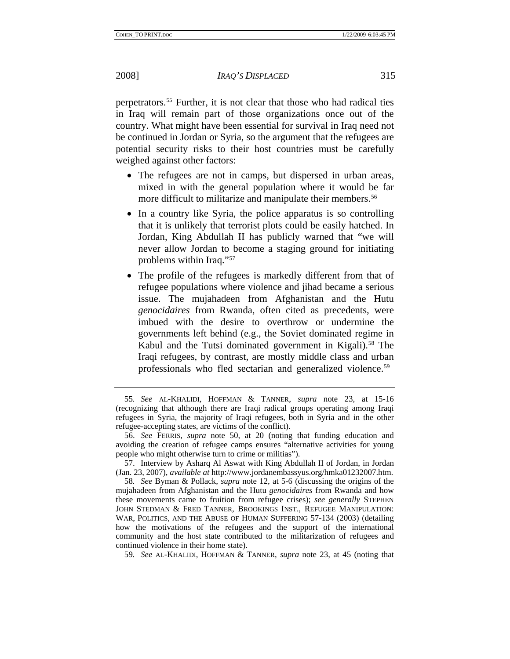perpetrators.[55](#page-15-0) Further, it is not clear that those who had radical ties in Iraq will remain part of those organizations once out of the country. What might have been essential for survival in Iraq need not be continued in Jordan or Syria, so the argument that the refugees are potential security risks to their host countries must be carefully weighed against other factors:

- The refugees are not in camps, but dispersed in urban areas, mixed in with the general population where it would be far more difficult to militarize and manipulate their members.<sup>[56](#page-15-1)</sup>
- In a country like Syria, the police apparatus is so controlling that it is unlikely that terrorist plots could be easily hatched. In Jordan, King Abdullah II has publicly warned that "we will never allow Jordan to become a staging ground for initiating problems within Iraq.["57](#page-15-2)
- The profile of the refugees is markedly different from that of refugee populations where violence and jihad became a serious issue. The mujahadeen from Afghanistan and the Hutu *genocidaires* from Rwanda, often cited as precedents, were imbued with the desire to overthrow or undermine the governments left behind (e.g., the Soviet dominated regime in Kabul and the Tutsi dominated government in Kigali).<sup>[58](#page-15-3)</sup> The Iraqi refugees, by contrast, are mostly middle class and urban professionals who fled sectarian and generalized violence.[59](#page-15-4)

<span id="page-15-4"></span>59*. See* AL-KHALIDI, HOFFMAN & TANNER, *supra* note 23, at 45 (noting that

<span id="page-15-0"></span><sup>55</sup>*. See* AL-KHALIDI, HOFFMAN & TANNER, *supra* note 23, at 15-16 (recognizing that although there are Iraqi radical groups operating among Iraqi refugees in Syria, the majority of Iraqi refugees, both in Syria and in the other refugee-accepting states, are victims of the conflict).

<span id="page-15-1"></span><sup>56.</sup> *See* FERRIS, *supra* note 50, at 20 (noting that funding education and avoiding the creation of refugee camps ensures "alternative activities for young people who might otherwise turn to crime or militias").

<span id="page-15-2"></span><sup>57.</sup> Interview by Asharq Al Aswat with King Abdullah II of Jordan, in Jordan (Jan. 23, 2007), *available at* http://www.jordanembassyus.org/hmka01232007.htm.

<span id="page-15-3"></span><sup>58</sup>*. See* Byman & Pollack, *supra* note 12, at 5-6 (discussing the origins of the mujahadeen from Afghanistan and the Hutu *genocidaires* from Rwanda and how these movements came to fruition from refugee crises); *see generally* STEPHEN JOHN STEDMAN & FRED TANNER, BROOKINGS INST., REFUGEE MANIPULATION: WAR, POLITICS, AND THE ABUSE OF HUMAN SUFFERING 57-134 (2003) (detailing how the motivations of the refugees and the support of the international community and the host state contributed to the militarization of refugees and continued violence in their home state).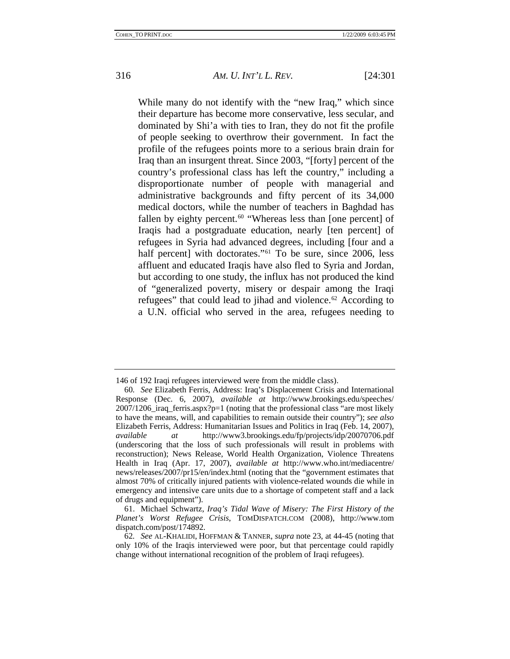While many do not identify with the "new Iraq," which since their departure has become more conservative, less secular, and dominated by Shi'a with ties to Iran, they do not fit the profile of people seeking to overthrow their government. In fact the profile of the refugees points more to a serious brain drain for Iraq than an insurgent threat. Since 2003, "[forty] percent of the country's professional class has left the country," including a disproportionate number of people with managerial and administrative backgrounds and fifty percent of its 34,000 medical doctors, while the number of teachers in Baghdad has fallen by eighty percent.<sup>[60](#page-16-0)</sup> "Whereas less than [one percent] of Iraqis had a postgraduate education, nearly [ten percent] of refugees in Syria had advanced degrees, including [four and a half percent] with doctorates."<sup>[61](#page-16-1)</sup> To be sure, since 2006, less affluent and educated Iraqis have also fled to Syria and Jordan, but according to one study, the influx has not produced the kind of "generalized poverty, misery or despair among the Iraqi refugees" that could lead to jihad and violence.<sup>[62](#page-16-2)</sup> According to a U.N. official who served in the area, refugees needing to

<sup>146</sup> of 192 Iraqi refugees interviewed were from the middle class).

<span id="page-16-0"></span><sup>60</sup>*. See* Elizabeth Ferris, Address: Iraq's Displacement Crisis and International Response (Dec. 6, 2007), *available at* http://www.brookings.edu/speeches/ 2007/1206\_iraq\_ferris.aspx?p=1 (noting that the professional class "are most likely to have the means, will, and capabilities to remain outside their country"); *see also* Elizabeth Ferris, Address: Humanitarian Issues and Politics in Iraq (Feb. 14, 2007), *available at* http://www3.brookings.edu/fp/projects/idp/20070706.pdf (underscoring that the loss of such professionals will result in problems with reconstruction); News Release, World Health Organization, Violence Threatens Health in Iraq (Apr. 17, 2007), *available at* http://www.who.int/mediacentre/ news/releases/2007/pr15/en/index.html (noting that the "government estimates that almost 70% of critically injured patients with violence-related wounds die while in emergency and intensive care units due to a shortage of competent staff and a lack of drugs and equipment").

<span id="page-16-1"></span><sup>61.</sup> Michael Schwartz, *Iraq's Tidal Wave of Misery: The First History of the Planet's Worst Refugee Crisis*, TOMDISPATCH.COM (2008), http://www.tom dispatch.com/post/174892.

<span id="page-16-2"></span><sup>62</sup>*. See* AL-KHALIDI, HOFFMAN & TANNER, *supra* note 23, at 44-45 (noting that only 10% of the Iraqis interviewed were poor, but that percentage could rapidly change without international recognition of the problem of Iraqi refugees).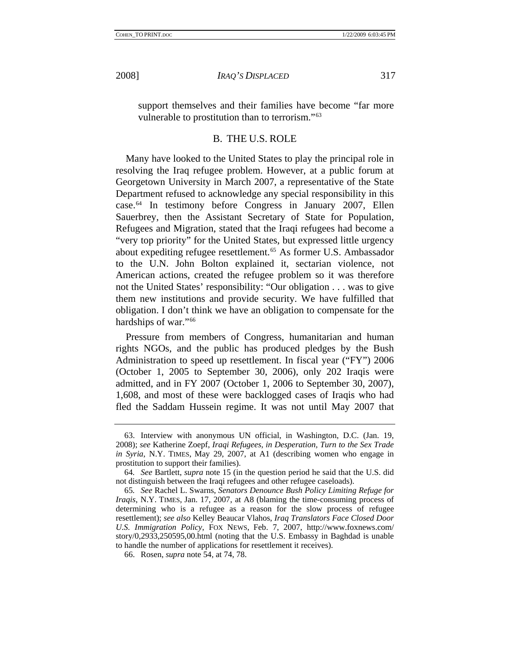<span id="page-17-0"></span>

support themselves and their families have become "far more vulnerable to prostitution than to terrorism."[63](#page-17-1)

#### B. THE U.S. ROLE

Many have looked to the United States to play the principal role in resolving the Iraq refugee problem. However, at a public forum at Georgetown University in March 2007, a representative of the State Department refused to acknowledge any special responsibility in this case.[64](#page-17-2) In testimony before Congress in January 2007, Ellen Sauerbrey, then the Assistant Secretary of State for Population, Refugees and Migration, stated that the Iraqi refugees had become a "very top priority" for the United States, but expressed little urgency about expediting refugee resettlement.<sup>[65](#page-17-3)</sup> As former U.S. Ambassador to the U.N. John Bolton explained it, sectarian violence, not American actions, created the refugee problem so it was therefore not the United States' responsibility: "Our obligation . . . was to give them new institutions and provide security. We have fulfilled that obligation. I don't think we have an obligation to compensate for the hardships of war."<sup>[66](#page-17-4)</sup>

Pressure from members of Congress, humanitarian and human rights NGOs, and the public has produced pledges by the Bush Administration to speed up resettlement. In fiscal year ("FY") 2006 (October 1, 2005 to September 30, 2006), only 202 Iraqis were admitted, and in FY 2007 (October 1, 2006 to September 30, 2007), 1,608, and most of these were backlogged cases of Iraqis who had fled the Saddam Hussein regime. It was not until May 2007 that

<span id="page-17-1"></span><sup>63.</sup> Interview with anonymous UN official, in Washington, D.C. (Jan. 19, 2008); *see* Katherine Zoepf, *Iraqi Refugees, in Desperation, Turn to the Sex Trade in Syria*, N.Y. TIMES, May 29, 2007, at A1 (describing women who engage in prostitution to support their families).

<span id="page-17-2"></span><sup>64</sup>*. See* Bartlett, *supra* note 15 (in the question period he said that the U.S. did not distinguish between the Iraqi refugees and other refugee caseloads).

<span id="page-17-3"></span><sup>65</sup>*. See* Rachel L. Swarns, *Senators Denounce Bush Policy Limiting Refuge for Iraqis*, N.Y. TIMES, Jan. 17, 2007, at A8 (blaming the time-consuming process of determining who is a refugee as a reason for the slow process of refugee resettlement); *see also* Kelley Beaucar Vlahos, *Iraq Translators Face Closed Door U.S. Immigration Policy*, FOX NEWS, Feb. 7, 2007, http://www.foxnews.com/ story/0,2933,250595,00.html (noting that the U.S. Embassy in Baghdad is unable to handle the number of applications for resettlement it receives).

<span id="page-17-4"></span><sup>66.</sup> Rosen, *supra* note 54, at 74, 78.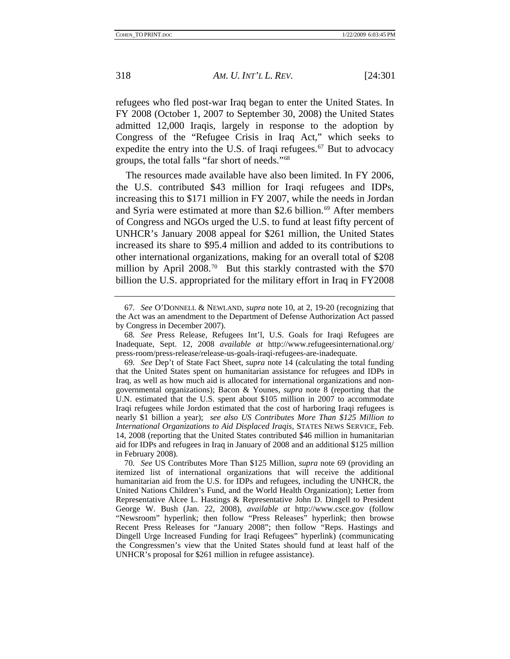refugees who fled post-war Iraq began to enter the United States. In FY 2008 (October 1, 2007 to September 30, 2008) the United States admitted 12,000 Iraqis, largely in response to the adoption by Congress of the "Refugee Crisis in Iraq Act," which seeks to expedite the entry into the U.S. of Iraqi refugees. $67$  But to advocacy groups, the total falls "far short of needs."[68](#page-18-1)

The resources made available have also been limited. In FY 2006, the U.S. contributed \$43 million for Iraqi refugees and IDPs, increasing this to \$171 million in FY 2007, while the needs in Jordan and Syria were estimated at more than \$2.6 billion.<sup>[69](#page-18-2)</sup> After members of Congress and NGOs urged the U.S. to fund at least fifty percent of UNHCR's January 2008 appeal for \$261 million, the United States increased its share to \$95.4 million and added to its contributions to other international organizations, making for an overall total of \$208 million by April 2008.<sup>[70](#page-18-3)</sup> But this starkly contrasted with the \$70 billion the U.S. appropriated for the military effort in Iraq in FY2008

<span id="page-18-0"></span><sup>67</sup>*. See* O'DONNELL & NEWLAND, *supra* note 10, at 2, 19-20 (recognizing that the Act was an amendment to the Department of Defense Authorization Act passed by Congress in December 2007).

<span id="page-18-1"></span><sup>68</sup>*. See* Press Release, Refugees Int'l, U.S. Goals for Iraqi Refugees are Inadequate, Sept. 12, 2008 *available at* http://www.refugeesinternational.org/ press-room/press-release/release-us-goals-iraqi-refugees-are-inadequate.

<span id="page-18-2"></span><sup>69</sup>*. See* Dep't of State Fact Sheet, *supra* note 14 (calculating the total funding that the United States spent on humanitarian assistance for refugees and IDPs in Iraq, as well as how much aid is allocated for international organizations and nongovernmental organizations); Bacon & Younes, *supra* note 8 (reporting that the U.N. estimated that the U.S. spent about \$105 million in 2007 to accommodate Iraqi refugees while Jordon estimated that the cost of harboring Iraqi refugees is nearly \$1 billion a year); *see also US Contributes More Than \$125 Million to International Organizations to Aid Displaced Iraqis*, STATES NEWS SERVICE, Feb. 14, 2008 (reporting that the United States contributed \$46 million in humanitarian aid for IDPs and refugees in Iraq in January of 2008 and an additional \$125 million in February 2008).

<span id="page-18-3"></span><sup>70</sup>*. See* US Contributes More Than \$125 Million, *supra* note 69 (providing an itemized list of international organizations that will receive the additional humanitarian aid from the U.S. for IDPs and refugees, including the UNHCR, the United Nations Children's Fund, and the World Health Organization); Letter from Representative Alcee L. Hastings & Representative John D. Dingell to President George W. Bush (Jan. 22, 2008), *available at* http://www.csce.gov (follow "Newsroom" hyperlink; then follow "Press Releases" hyperlink; then browse Recent Press Releases for "January 2008"; then follow "Reps. Hastings and Dingell Urge Increased Funding for Iraqi Refugees" hyperlink) (communicating the Congressmen's view that the United States should fund at least half of the UNHCR's proposal for \$261 million in refugee assistance).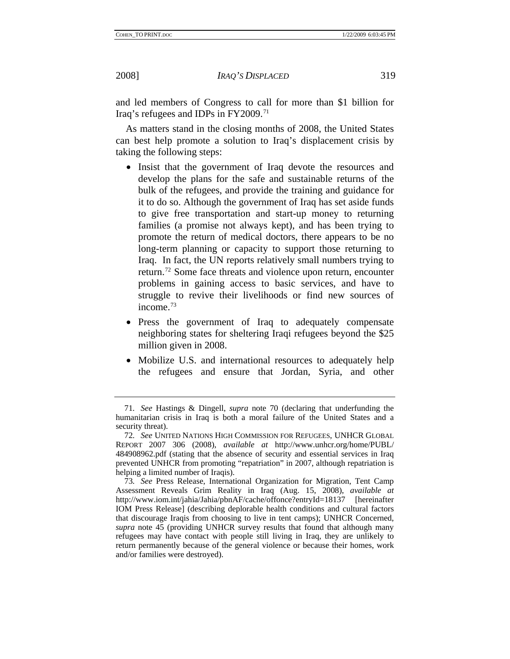and led members of Congress to call for more than \$1 billion for Iraq's refugees and IDPs in FY2009.[71](#page-19-0)

As matters stand in the closing months of 2008, the United States can best help promote a solution to Iraq's displacement crisis by taking the following steps:

- Insist that the government of Iraq devote the resources and develop the plans for the safe and sustainable returns of the bulk of the refugees, and provide the training and guidance for it to do so. Although the government of Iraq has set aside funds to give free transportation and start-up money to returning families (a promise not always kept), and has been trying to promote the return of medical doctors, there appears to be no long-term planning or capacity to support those returning to Iraq. In fact, the UN reports relatively small numbers trying to return.[72](#page-19-1) Some face threats and violence upon return, encounter problems in gaining access to basic services, and have to struggle to revive their livelihoods or find new sources of income.[73](#page-19-2)
- Press the government of Iraq to adequately compensate neighboring states for sheltering Iraqi refugees beyond the \$25 million given in 2008.
- Mobilize U.S. and international resources to adequately help the refugees and ensure that Jordan, Syria, and other

<span id="page-19-0"></span><sup>71</sup>*. See* Hastings & Dingell, *supra* note 70 (declaring that underfunding the humanitarian crisis in Iraq is both a moral failure of the United States and a security threat).

<span id="page-19-1"></span><sup>72</sup>*. See* UNITED NATIONS HIGH COMMISSION FOR REFUGEES, UNHCR GLOBAL REPORT 2007 306 (2008), *available at* http://www.unhcr.org/home/PUBL/ 484908962.pdf (stating that the absence of security and essential services in Iraq prevented UNHCR from promoting "repatriation" in 2007, although repatriation is helping a limited number of Iraqis).

<span id="page-19-2"></span><sup>73</sup>*. See* Press Release, International Organization for Migration, Tent Camp Assessment Reveals Grim Reality in Iraq (Aug. 15, 2008), *available at* http://www.iom.int/jahia/Jahia/pbnAF/cache/offonce?entryId=18137 [hereinafter IOM Press Release] (describing deplorable health conditions and cultural factors that discourage Iraqis from choosing to live in tent camps); UNHCR Concerned, *supra* note 45 (providing UNHCR survey results that found that although many refugees may have contact with people still living in Iraq, they are unlikely to return permanently because of the general violence or because their homes, work and/or families were destroyed).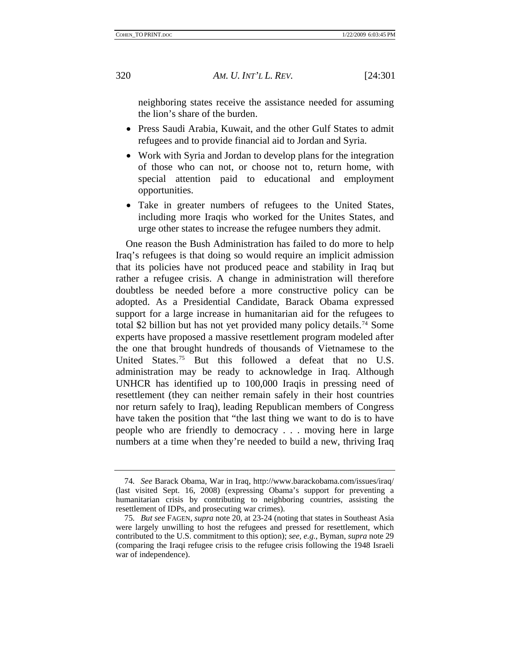neighboring states receive the assistance needed for assuming the lion's share of the burden.

- Press Saudi Arabia, Kuwait, and the other Gulf States to admit refugees and to provide financial aid to Jordan and Syria.
- Work with Syria and Jordan to develop plans for the integration of those who can not, or choose not to, return home, with special attention paid to educational and employment opportunities.
- Take in greater numbers of refugees to the United States, including more Iraqis who worked for the Unites States, and urge other states to increase the refugee numbers they admit.

One reason the Bush Administration has failed to do more to help Iraq's refugees is that doing so would require an implicit admission that its policies have not produced peace and stability in Iraq but rather a refugee crisis. A change in administration will therefore doubtless be needed before a more constructive policy can be adopted. As a Presidential Candidate, Barack Obama expressed support for a large increase in humanitarian aid for the refugees to total \$2 billion but has not yet provided many policy details.<sup>[74](#page-20-0)</sup> Some experts have proposed a massive resettlement program modeled after the one that brought hundreds of thousands of Vietnamese to the United States.<sup>[75](#page-20-1)</sup> But this followed a defeat that no U.S. administration may be ready to acknowledge in Iraq. Although UNHCR has identified up to 100,000 Iraqis in pressing need of resettlement (they can neither remain safely in their host countries nor return safely to Iraq), leading Republican members of Congress have taken the position that "the last thing we want to do is to have people who are friendly to democracy . . . moving here in large numbers at a time when they're needed to build a new, thriving Iraq

<span id="page-20-0"></span><sup>74</sup>*. See* Barack Obama, War in Iraq, http://www.barackobama.com/issues/iraq/ (last visited Sept. 16, 2008) (expressing Obama's support for preventing a humanitarian crisis by contributing to neighboring countries, assisting the resettlement of IDPs, and prosecuting war crimes).

<span id="page-20-1"></span><sup>75</sup>*. But see* FAGEN, *supra* note 20, at 23-24 (noting that states in Southeast Asia were largely unwilling to host the refugees and pressed for resettlement, which contributed to the U.S. commitment to this option); *see, e.g.*, Byman, *supra* note 29 (comparing the Iraqi refugee crisis to the refugee crisis following the 1948 Israeli war of independence).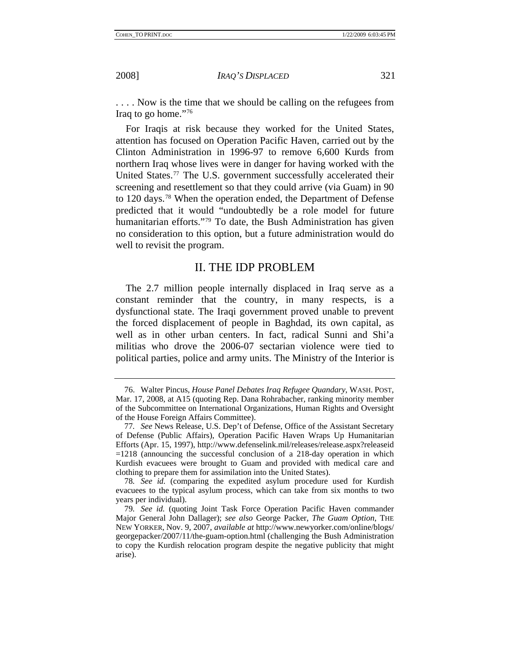<span id="page-21-0"></span>

. . . . Now is the time that we should be calling on the refugees from Iraq to go home."[76](#page-21-1)

For Iraqis at risk because they worked for the United States, attention has focused on Operation Pacific Haven, carried out by the Clinton Administration in 1996-97 to remove 6,600 Kurds from northern Iraq whose lives were in danger for having worked with the United States.<sup>[77](#page-21-2)</sup> The U.S. government successfully accelerated their screening and resettlement so that they could arrive (via Guam) in 90 to 120 days.[78](#page-21-3) When the operation ended, the Department of Defense predicted that it would "undoubtedly be a role model for future humanitarian efforts."<sup>79</sup> To date, the Bush Administration has given no consideration to this option, but a future administration would do well to revisit the program.

# II. THE IDP PROBLEM

The 2.7 million people internally displaced in Iraq serve as a constant reminder that the country, in many respects, is a dysfunctional state. The Iraqi government proved unable to prevent the forced displacement of people in Baghdad, its own capital, as well as in other urban centers. In fact, radical Sunni and Shi'a militias who drove the 2006-07 sectarian violence were tied to political parties, police and army units. The Ministry of the Interior is

<span id="page-21-1"></span><sup>76.</sup> Walter Pincus, *House Panel Debates Iraq Refugee Quandary*, WASH. POST, Mar. 17, 2008, at A15 (quoting Rep. Dana Rohrabacher, ranking minority member of the Subcommittee on International Organizations, Human Rights and Oversight of the House Foreign Affairs Committee).

<span id="page-21-2"></span><sup>77</sup>*. See* News Release, U.S. Dep't of Defense, Office of the Assistant Secretary of Defense (Public Affairs), Operation Pacific Haven Wraps Up Humanitarian Efforts (Apr. 15, 1997), http://www.defenselink.mil/releases/release.aspx?releaseid =1218 (announcing the successful conclusion of a 218-day operation in which Kurdish evacuees were brought to Guam and provided with medical care and clothing to prepare them for assimilation into the United States).

<span id="page-21-3"></span><sup>78</sup>*. See id.* (comparing the expedited asylum procedure used for Kurdish evacuees to the typical asylum process, which can take from six months to two years per individual).

<span id="page-21-4"></span><sup>79</sup>*. See id.* (quoting Joint Task Force Operation Pacific Haven commander Major General John Dallager); *see also* George Packer, *The Guam Option*, THE NEW YORKER, Nov. 9, 2007, *available at* http://www.newyorker.com/online/blogs/ georgepacker/2007/11/the-guam-option.html (challenging the Bush Administration to copy the Kurdish relocation program despite the negative publicity that might arise).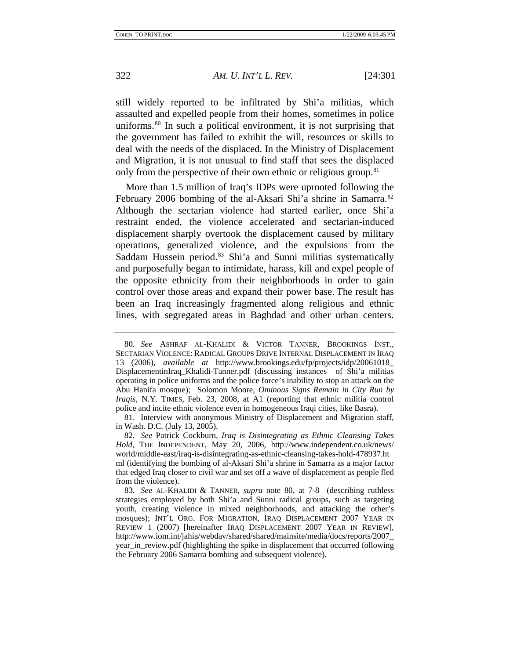still widely reported to be infiltrated by Shi'a militias, which assaulted and expelled people from their homes, sometimes in police uniforms.[80](#page-22-0) In such a political environment, it is not surprising that the government has failed to exhibit the will, resources or skills to deal with the needs of the displaced. In the Ministry of Displacement and Migration, it is not unusual to find staff that sees the displaced only from the perspective of their own ethnic or religious group.<sup>[81](#page-22-1)</sup>

More than 1.5 million of Iraq's IDPs were uprooted following the February 2006 bombing of the al-Aksari Shi'a shrine in Samarra.<sup>[82](#page-22-2)</sup> Although the sectarian violence had started earlier, once Shi'a restraint ended, the violence accelerated and sectarian-induced displacement sharply overtook the displacement caused by military operations, generalized violence, and the expulsions from the Saddam Hussein period.<sup>[83](#page-22-3)</sup> Shi'a and Sunni militias systematically and purposefully began to intimidate, harass, kill and expel people of the opposite ethnicity from their neighborhoods in order to gain control over those areas and expand their power base. The result has been an Iraq increasingly fragmented along religious and ethnic lines, with segregated areas in Baghdad and other urban centers.

<span id="page-22-0"></span><sup>80</sup>*. See* ASHRAF AL-KHALIDI & VICTOR TANNER, BROOKINGS INST., SECTARIAN VIOLENCE: RADICAL GROUPS DRIVE INTERNAL DISPLACEMENT IN IRAQ 13 (2006), *available at* http://www.brookings.edu/fp/projects/idp/20061018\_ DisplacementinIraq\_Khalidi-Tanner.pdf (discussing instances of Shi'a militias operating in police uniforms and the police force's inability to stop an attack on the Abu Hanifa mosque); Solomon Moore, *Ominous Signs Remain in City Run by Iraqis*, N.Y. TIMES, Feb. 23, 2008, at A1 (reporting that ethnic militia control police and incite ethnic violence even in homogeneous Iraqi cities, like Basra).

<span id="page-22-1"></span><sup>81.</sup> Interview with anonymous Ministry of Displacement and Migration staff, in Wash. D.C. (July 13, 2005).

<span id="page-22-2"></span><sup>82</sup>*. See* Patrick Cockburn, *Iraq is Disintegrating as Ethnic Cleansing Takes Hold*, THE INDEPENDENT, May 20, 2006, http://www.independent.co.uk/news/ world/middle-east/iraq-is-disintegrating-as-ethnic-cleansing-takes-hold-478937.ht ml (identifying the bombing of al-Aksari Shi'a shrine in Samarra as a major factor that edged Iraq closer to civil war and set off a wave of displacement as people fled from the violence).

<span id="page-22-3"></span><sup>83</sup>*. See* AL-KHALIDI & TANNER, *supra* note 80, at 7-8 (describing ruthless strategies employed by both Shi'a and Sunni radical groups, such as targeting youth, creating violence in mixed neighborhoods, and attacking the other's mosques); INT'L ORG. FOR MIGRATION, IRAQ DISPLACEMENT 2007 YEAR IN REVIEW 1 (2007) [hereinafter IRAQ DISPLACEMENT 2007 YEAR IN REVIEW], http://www.iom.int/jahia/webdav/shared/shared/mainsite/media/docs/reports/2007\_ year\_in\_review.pdf (highlighting the spike in displacement that occurred following the February 2006 Samarra bombing and subsequent violence).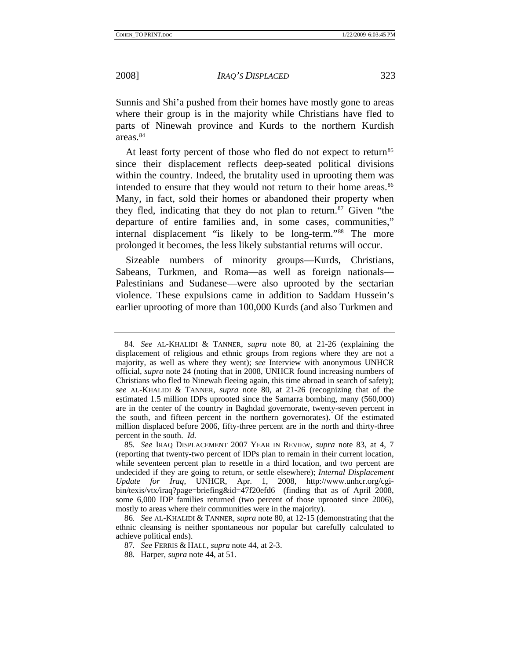Sunnis and Shi'a pushed from their homes have mostly gone to areas where their group is in the majority while Christians have fled to parts of Ninewah province and Kurds to the northern Kurdish areas.<sup>[84](#page-23-0)</sup>

At least forty percent of those who fled do not expect to return<sup>85</sup> since their displacement reflects deep-seated political divisions within the country. Indeed, the brutality used in uprooting them was intended to ensure that they would not return to their home areas.<sup>86</sup> Many, in fact, sold their homes or abandoned their property when they fled, indicating that they do not plan to return.<sup>[87](#page-23-3)</sup> Given "the departure of entire families and, in some cases, communities," internal displacement "is likely to be long-term."<sup>[88](#page-23-4)</sup> The more prolonged it becomes, the less likely substantial returns will occur.

Sizeable numbers of minority groups—Kurds, Christians, Sabeans, Turkmen, and Roma—as well as foreign nationals— Palestinians and Sudanese—were also uprooted by the sectarian violence. These expulsions came in addition to Saddam Hussein's earlier uprooting of more than 100,000 Kurds (and also Turkmen and

<span id="page-23-0"></span><sup>84</sup>*. See* AL-KHALIDI & TANNER, *supra* note 80, at 21-26 (explaining the displacement of religious and ethnic groups from regions where they are not a majority, as well as where they went); *see* Interview with anonymous UNHCR official, *supra* note 24 (noting that in 2008, UNHCR found increasing numbers of Christians who fled to Ninewah fleeing again, this time abroad in search of safety); *see* AL-KHALIDI & TANNER, *supra* note 80, at 21-26 (recognizing that of the estimated 1.5 million IDPs uprooted since the Samarra bombing, many (560,000) are in the center of the country in Baghdad governorate, twenty-seven percent in the south, and fifteen percent in the northern governorates). Of the estimated million displaced before 2006, fifty-three percent are in the north and thirty-three percent in the south. *Id.* 

<span id="page-23-1"></span><sup>85</sup>*. See* IRAQ DISPLACEMENT 2007 YEAR IN REVIEW, *supra* note 83, at 4, 7 (reporting that twenty-two percent of IDPs plan to remain in their current location, while seventeen percent plan to resettle in a third location, and two percent are undecided if they are going to return, or settle elsewhere); *Internal Displacement Update for Iraq*, UNHCR, Apr. 1, 2008, http://www.unhcr.org/cgibin/texis/vtx/iraq?page=briefing&id=47f20efd6 (finding that as of April 2008, some 6,000 IDP families returned (two percent of those uprooted since 2006), mostly to areas where their communities were in the majority).

<span id="page-23-4"></span><span id="page-23-3"></span><span id="page-23-2"></span><sup>86</sup>*. See* AL-KHALIDI & TANNER, *supra* note 80, at 12-15 (demonstrating that the ethnic cleansing is neither spontaneous nor popular but carefully calculated to achieve political ends).

<sup>87</sup>*. See* FERRIS & HALL, *supra* note 44, at 2-3.

<sup>88</sup>*.* Harper, *supra* note 44, at 51.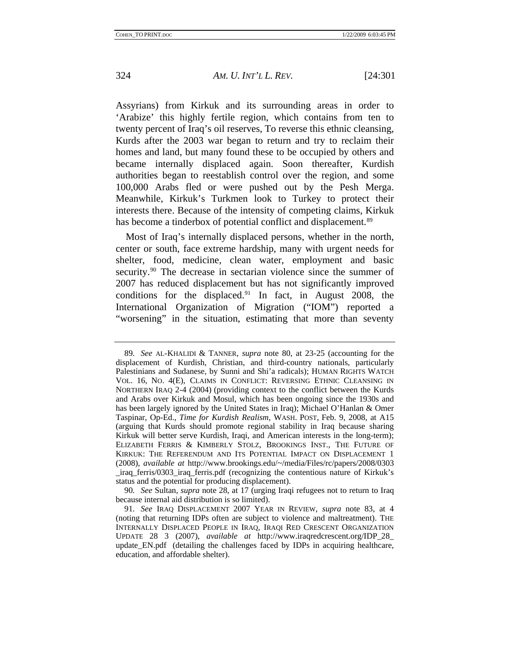Assyrians) from Kirkuk and its surrounding areas in order to 'Arabize' this highly fertile region, which contains from ten to twenty percent of Iraq's oil reserves, To reverse this ethnic cleansing, Kurds after the 2003 war began to return and try to reclaim their homes and land, but many found these to be occupied by others and became internally displaced again. Soon thereafter, Kurdish authorities began to reestablish control over the region, and some 100,000 Arabs fled or were pushed out by the Pesh Merga. Meanwhile, Kirkuk's Turkmen look to Turkey to protect their interests there. Because of the intensity of competing claims, Kirkuk has become a tinderbox of potential conflict and displacement.<sup>[89](#page-24-0)</sup>

Most of Iraq's internally displaced persons, whether in the north, center or south, face extreme hardship, many with urgent needs for shelter, food, medicine, clean water, employment and basic security.<sup>[90](#page-24-1)</sup> The decrease in sectarian violence since the summer of 2007 has reduced displacement but has not significantly improved conditions for the displaced.<sup>[91](#page-24-2)</sup> In fact, in August 2008, the International Organization of Migration ("IOM") reported a "worsening" in the situation, estimating that more than seventy

<span id="page-24-0"></span><sup>89</sup>*. See* AL-KHALIDI & TANNER, *supra* note 80, at 23-25 (accounting for the displacement of Kurdish, Christian, and third-country nationals, particularly Palestinians and Sudanese, by Sunni and Shi'a radicals); HUMAN RIGHTS WATCH VOL. 16, NO. 4(E), CLAIMS IN CONFLICT: REVERSING ETHNIC CLEANSING IN NORTHERN IRAQ 2-4 (2004) (providing context to the conflict between the Kurds and Arabs over Kirkuk and Mosul, which has been ongoing since the 1930s and has been largely ignored by the United States in Iraq); Michael O'Hanlan & Omer Taspinar, Op-Ed., *Time for Kurdish Realism*, WASH. POST, Feb. 9, 2008, at A15 (arguing that Kurds should promote regional stability in Iraq because sharing Kirkuk will better serve Kurdish, Iraqi, and American interests in the long-term); ELIZABETH FERRIS & KIMBERLY STOLZ, BROOKINGS INST., THE FUTURE OF KIRKUK: THE REFERENDUM AND ITS POTENTIAL IMPACT ON DISPLACEMENT 1 (2008), *available at* http://www.brookings.edu/~/media/Files/rc/papers/2008/0303 iraq ferris/0303 iraq ferris.pdf (recognizing the contentious nature of Kirkuk's status and the potential for producing displacement).

<span id="page-24-1"></span><sup>90</sup>*. See* Sultan, *supra* note 28, at 17 (urging Iraqi refugees not to return to Iraq because internal aid distribution is so limited).

<span id="page-24-2"></span><sup>91</sup>*. See* IRAQ DISPLACEMENT 2007 YEAR IN REVIEW, *supra* note 83, at 4 (noting that returning IDPs often are subject to violence and maltreatment). THE INTERNALLY DISPLACED PEOPLE IN IRAQ, IRAQI RED CRESCENT ORGANIZATION UPDATE 28 3 (2007), *available at* http://www.iraqredcrescent.org/IDP\_28\_ update\_EN.pdf (detailing the challenges faced by IDPs in acquiring healthcare, education, and affordable shelter).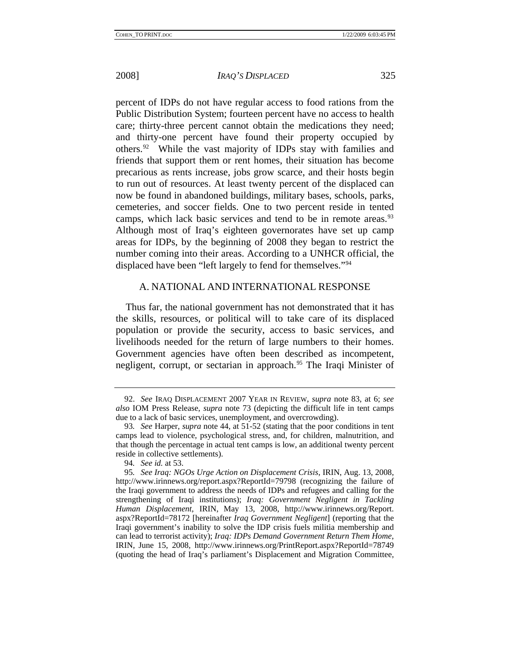<span id="page-25-0"></span>

percent of IDPs do not have regular access to food rations from the Public Distribution System; fourteen percent have no access to health care; thirty-three percent cannot obtain the medications they need; and thirty-one percent have found their property occupied by others.[92](#page-25-1) While the vast majority of IDPs stay with families and friends that support them or rent homes, their situation has become precarious as rents increase, jobs grow scarce, and their hosts begin to run out of resources. At least twenty percent of the displaced can now be found in abandoned buildings, military bases, schools, parks, cemeteries, and soccer fields. One to two percent reside in tented camps, which lack basic services and tend to be in remote areas.<sup>[93](#page-25-2)</sup> Although most of Iraq's eighteen governorates have set up camp areas for IDPs, by the beginning of 2008 they began to restrict the number coming into their areas. According to a UNHCR official, the displaced have been "left largely to fend for themselves."[94](#page-25-3)

#### A. NATIONAL AND INTERNATIONAL RESPONSE

Thus far, the national government has not demonstrated that it has the skills, resources, or political will to take care of its displaced population or provide the security, access to basic services, and livelihoods needed for the return of large numbers to their homes. Government agencies have often been described as incompetent, negligent, corrupt, or sectarian in approach.<sup>[95](#page-25-4)</sup> The Iraqi Minister of

<span id="page-25-1"></span><sup>92.</sup> *See* IRAQ DISPLACEMENT 2007 YEAR IN REVIEW, *supra* note 83, at 6; *see also* IOM Press Release, *supra* note 73 (depicting the difficult life in tent camps due to a lack of basic services, unemployment, and overcrowding).

<span id="page-25-2"></span><sup>93</sup>*. See* Harper, *supra* note 44, at 51-52 (stating that the poor conditions in tent camps lead to violence, psychological stress, and, for children, malnutrition, and that though the percentage in actual tent camps is low, an additional twenty percent reside in collective settlements).

<sup>94</sup>*. See id.* at 53.

<span id="page-25-4"></span><span id="page-25-3"></span><sup>95</sup>*. See Iraq: NGOs Urge Action on Displacement Crisis*, IRIN, Aug. 13, 2008, http://www.irinnews.org/report.aspx?ReportId=79798 (recognizing the failure of the Iraqi government to address the needs of IDPs and refugees and calling for the strengthening of Iraqi institutions); *Iraq: Government Negligent in Tackling Human Displacement*, IRIN, May 13, 2008, http://www.irinnews.org/Report. aspx?ReportId=78172 [hereinafter *Iraq Government Negligent*] (reporting that the Iraqi government's inability to solve the IDP crisis fuels militia membership and can lead to terrorist activity); *Iraq: IDPs Demand Government Return Them Home*, IRIN, June 15, 2008, http://www.irinnews.org/PrintReport.aspx?ReportId=78749 (quoting the head of Iraq's parliament's Displacement and Migration Committee,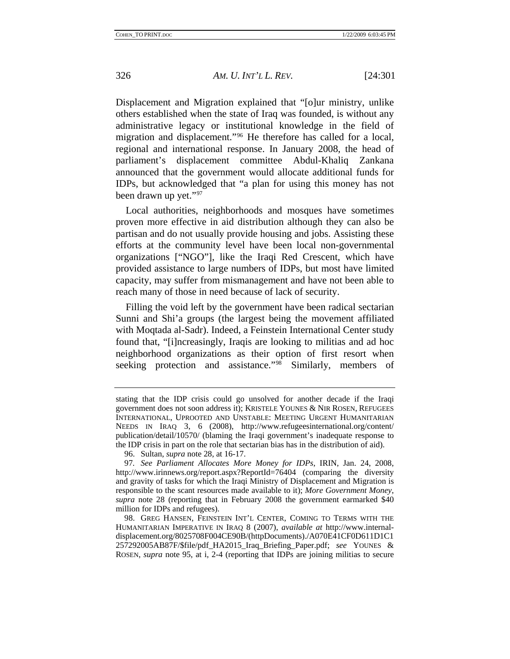Displacement and Migration explained that "[o]ur ministry, unlike others established when the state of Iraq was founded, is without any administrative legacy or institutional knowledge in the field of migration and displacement."[96](#page-26-0) He therefore has called for a local, regional and international response. In January 2008, the head of parliament's displacement committee Abdul-Khaliq Zankana announced that the government would allocate additional funds for IDPs, but acknowledged that "a plan for using this money has not been drawn up yet."[97](#page-26-1)

Local authorities, neighborhoods and mosques have sometimes proven more effective in aid distribution although they can also be partisan and do not usually provide housing and jobs. Assisting these efforts at the community level have been local non-governmental organizations ["NGO"], like the Iraqi Red Crescent, which have provided assistance to large numbers of IDPs, but most have limited capacity, may suffer from mismanagement and have not been able to reach many of those in need because of lack of security.

Filling the void left by the government have been radical sectarian Sunni and Shi'a groups (the largest being the movement affiliated with Moqtada al-Sadr). Indeed, a Feinstein International Center study found that, "[i]ncreasingly, Iraqis are looking to militias and ad hoc neighborhood organizations as their option of first resort when seeking protection and assistance."<sup>[98](#page-26-2)</sup> Similarly, members of

stating that the IDP crisis could go unsolved for another decade if the Iraqi government does not soon address it); KRISTELE YOUNES & NIR ROSEN, REFUGEES INTERNATIONAL, UPROOTED AND UNSTABLE: MEETING URGENT HUMANITARIAN NEEDS IN IRAQ 3, 6 (2008), http://www.refugeesinternational.org/content/ publication/detail/10570/ (blaming the Iraqi government's inadequate response to the IDP crisis in part on the role that sectarian bias has in the distribution of aid).

<sup>96.</sup> Sultan, *supra* note 28, at 16-17.

<span id="page-26-1"></span><span id="page-26-0"></span><sup>97</sup>*. See Parliament Allocates More Money for IDPs*, IRIN, Jan. 24, 2008, http://www.irinnews.org/report.aspx?ReportId=76404 (comparing the diversity and gravity of tasks for which the Iraqi Ministry of Displacement and Migration is responsible to the scant resources made available to it); *More Government Money*, *supra* note 28 (reporting that in February 2008 the government earmarked \$40 million for IDPs and refugees).

<span id="page-26-2"></span><sup>98.</sup> GREG HANSEN, FEINSTEIN INT'L CENTER, COMING TO TERMS WITH THE HUMANITARIAN IMPERATIVE IN IRAQ 8 (2007), *available at* http://www.internaldisplacement.org/8025708F004CE90B/(httpDocuments)./A070E41CF0D611D1C1 257292005AB87F/\$file/pdf\_HA2015\_Iraq\_Briefing\_Paper.pdf; *see* YOUNES & ROSEN, *supra* note 95, at i, 2-4 (reporting that IDPs are joining militias to secure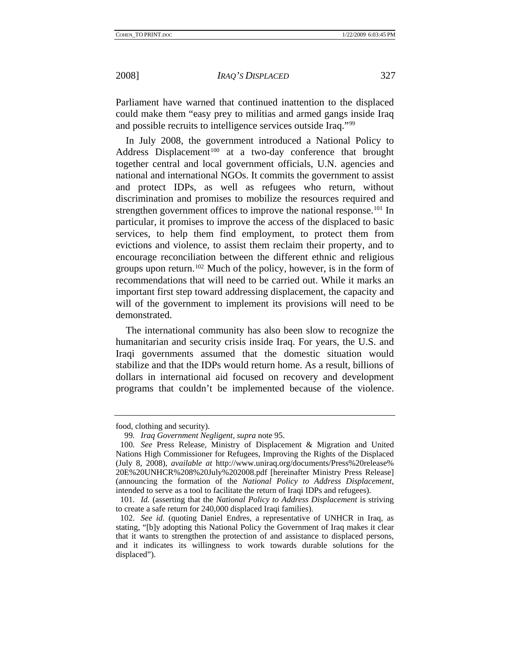Parliament have warned that continued inattention to the displaced could make them "easy prey to militias and armed gangs inside Iraq and possible recruits to intelligence services outside Iraq."[99](#page-27-0)

In July 2008, the government introduced a National Policy to Address Displacement<sup>[100](#page-27-1)</sup> at a two-day conference that brought together central and local government officials, U.N. agencies and national and international NGOs. It commits the government to assist and protect IDPs, as well as refugees who return, without discrimination and promises to mobilize the resources required and strengthen government offices to improve the national response.<sup>[101](#page-27-2)</sup> In particular, it promises to improve the access of the displaced to basic services, to help them find employment, to protect them from evictions and violence, to assist them reclaim their property, and to encourage reconciliation between the different ethnic and religious groups upon return.<sup>[102](#page-27-3)</sup> Much of the policy, however, is in the form of recommendations that will need to be carried out. While it marks an important first step toward addressing displacement, the capacity and will of the government to implement its provisions will need to be demonstrated.

The international community has also been slow to recognize the humanitarian and security crisis inside Iraq. For years, the U.S. and Iraqi governments assumed that the domestic situation would stabilize and that the IDPs would return home. As a result, billions of dollars in international aid focused on recovery and development programs that couldn't be implemented because of the violence.

<span id="page-27-0"></span>food, clothing and security).

<sup>99</sup>*. Iraq Government Negligent*, *supra* note 95.

<span id="page-27-1"></span><sup>100</sup>*. See* Press Release, Ministry of Displacement & Migration and United Nations High Commissioner for Refugees, Improving the Rights of the Displaced (July 8, 2008), *available at* http://www.uniraq.org/documents/Press%20release% 20E%20UNHCR%208%20July%202008.pdf [hereinafter Ministry Press Release] (announcing the formation of the *National Policy to Address Displacement*, intended to serve as a tool to facilitate the return of Iraqi IDPs and refugees).

<span id="page-27-2"></span><sup>101</sup>*. Id.* (asserting that the *National Policy to Address Displacement* is striving to create a safe return for 240,000 displaced Iraqi families).

<span id="page-27-3"></span><sup>102</sup>*. See id.* (quoting Daniel Endres, a representative of UNHCR in Iraq, as stating, "[b]y adopting this National Policy the Government of Iraq makes it clear that it wants to strengthen the protection of and assistance to displaced persons, and it indicates its willingness to work towards durable solutions for the displaced").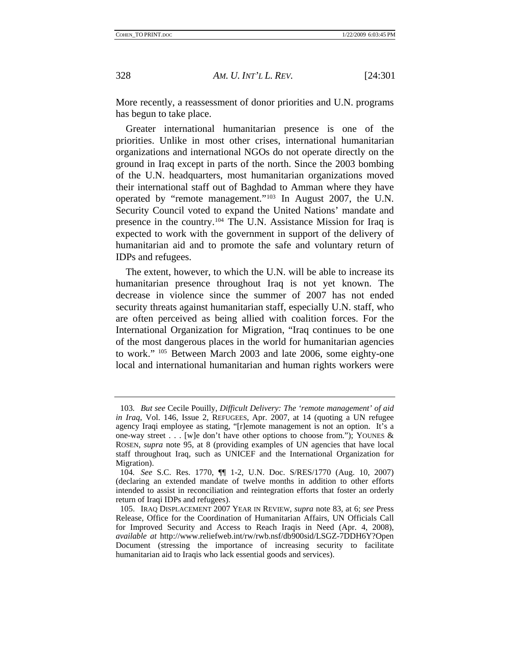More recently, a reassessment of donor priorities and U.N. programs has begun to take place.

Greater international humanitarian presence is one of the priorities. Unlike in most other crises, international humanitarian organizations and international NGOs do not operate directly on the ground in Iraq except in parts of the north. Since the 2003 bombing of the U.N. headquarters, most humanitarian organizations moved their international staff out of Baghdad to Amman where they have operated by "remote management."[103](#page-28-0) In August 2007, the U.N. Security Council voted to expand the United Nations' mandate and presence in the country.[104](#page-28-1) The U.N. Assistance Mission for Iraq is expected to work with the government in support of the delivery of humanitarian aid and to promote the safe and voluntary return of IDPs and refugees.

The extent, however, to which the U.N. will be able to increase its humanitarian presence throughout Iraq is not yet known. The decrease in violence since the summer of 2007 has not ended security threats against humanitarian staff, especially U.N. staff, who are often perceived as being allied with coalition forces. For the International Organization for Migration, "Iraq continues to be one of the most dangerous places in the world for humanitarian agencies to work." [105](#page-28-2) Between March 2003 and late 2006, some eighty-one local and international humanitarian and human rights workers were

<span id="page-28-0"></span><sup>103</sup>*. But see* Cecile Pouilly, *Difficult Delivery: The 'remote management' of aid in Iraq*, Vol. 146, Issue 2, REFUGEES, Apr. 2007, at 14 (quoting a UN refugee agency Iraqi employee as stating, "[r]emote management is not an option. It's a one-way street . . . [w]e don't have other options to choose from."); YOUNES  $\&$ ROSEN, *supra* note 95, at 8 (providing examples of UN agencies that have local staff throughout Iraq, such as UNICEF and the International Organization for Migration).

<span id="page-28-1"></span><sup>104</sup>*. See* S.C. Res. 1770, ¶¶ 1-2, U.N. Doc. S/RES/1770 (Aug. 10, 2007) (declaring an extended mandate of twelve months in addition to other efforts intended to assist in reconciliation and reintegration efforts that foster an orderly return of Iraqi IDPs and refugees).

<span id="page-28-2"></span><sup>105.</sup> IRAQ DISPLACEMENT 2007 YEAR IN REVIEW, *supra* note 83, at 6; *see* Press Release, Office for the Coordination of Humanitarian Affairs, UN Officials Call for Improved Security and Access to Reach Iraqis in Need (Apr. 4, 2008), *available at* http://www.reliefweb.int/rw/rwb.nsf/db900sid/LSGZ-7DDH6Y?Open Document (stressing the importance of increasing security to facilitate humanitarian aid to Iraqis who lack essential goods and services).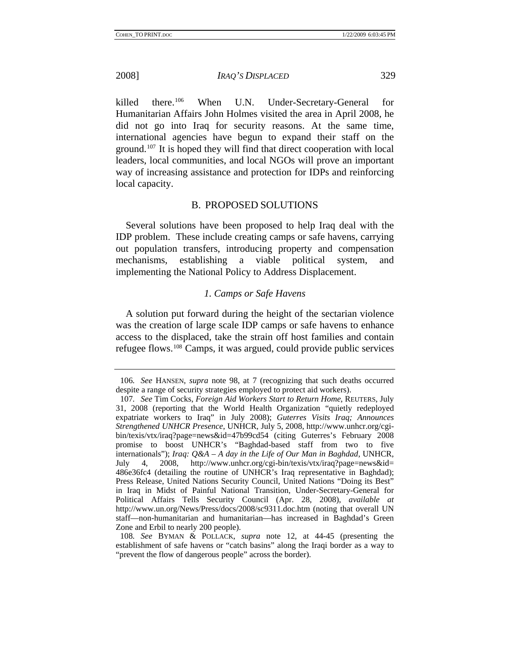<span id="page-29-0"></span>

killed there.<sup>[106](#page-29-1)</sup> When U.N. Under-Secretary-General for Humanitarian Affairs John Holmes visited the area in April 2008, he did not go into Iraq for security reasons. At the same time, international agencies have begun to expand their staff on the ground.[107](#page-29-2) It is hoped they will find that direct cooperation with local leaders, local communities, and local NGOs will prove an important way of increasing assistance and protection for IDPs and reinforcing local capacity.

# B. PROPOSED SOLUTIONS

Several solutions have been proposed to help Iraq deal with the IDP problem. These include creating camps or safe havens, carrying out population transfers, introducing property and compensation mechanisms, establishing a viable political system, and implementing the National Policy to Address Displacement.

#### *1. Camps or Safe Havens*

A solution put forward during the height of the sectarian violence was the creation of large scale IDP camps or safe havens to enhance access to the displaced, take the strain off host families and contain refugee flows.[108](#page-29-3) Camps, it was argued, could provide public services

<span id="page-29-1"></span><sup>106</sup>*. See* HANSEN, *supra* note 98, at 7 (recognizing that such deaths occurred despite a range of security strategies employed to protect aid workers).

<span id="page-29-2"></span><sup>107</sup>*. See* Tim Cocks, *Foreign Aid Workers Start to Return Home*, REUTERS, July 31, 2008 (reporting that the World Health Organization "quietly redeployed expatriate workers to Iraq" in July 2008); *Guterres Visits Iraq; Announces Strengthened UNHCR Presence*, UNHCR, July 5, 2008, http://www.unhcr.org/cgibin/texis/vtx/iraq?page=news&id=47b99cd54 (citing Guterres's February 2008 promise to boost UNHCR's "Baghdad-based staff from two to five internationals"); *Iraq: Q&A – A day in the Life of Our Man in Baghdad*, UNHCR, July 4, 2008, http://www.unhcr.org/cgi-bin/texis/vtx/iraq?page=news&id= 486e36fc4 (detailing the routine of UNHCR's Iraq representative in Baghdad); Press Release, United Nations Security Council, United Nations "Doing its Best" in Iraq in Midst of Painful National Transition, Under-Secretary-General for Political Affairs Tells Security Council (Apr. 28, 2008), *available at* http://www.un.org/News/Press/docs/2008/sc9311.doc.htm (noting that overall UN staff—non-humanitarian and humanitarian—has increased in Baghdad's Green Zone and Erbil to nearly 200 people).

<span id="page-29-3"></span><sup>108</sup>*. See* BYMAN & POLLACK, *supra* note 12, at 44-45 (presenting the establishment of safe havens or "catch basins" along the Iraqi border as a way to "prevent the flow of dangerous people" across the border).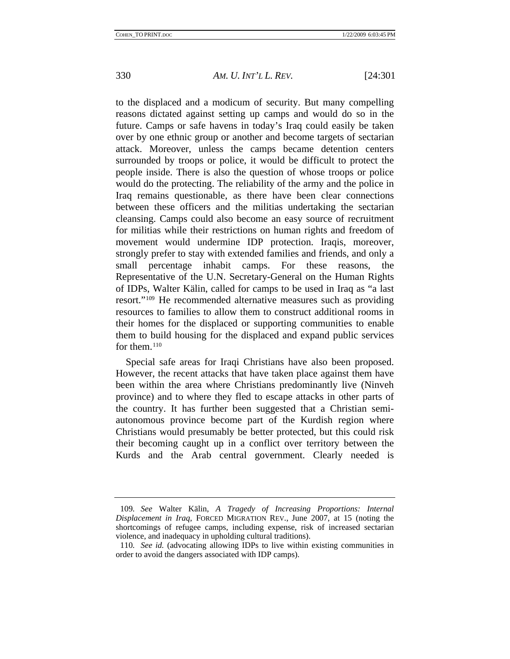to the displaced and a modicum of security. But many compelling reasons dictated against setting up camps and would do so in the future. Camps or safe havens in today's Iraq could easily be taken over by one ethnic group or another and become targets of sectarian attack. Moreover, unless the camps became detention centers surrounded by troops or police, it would be difficult to protect the people inside. There is also the question of whose troops or police would do the protecting. The reliability of the army and the police in Iraq remains questionable, as there have been clear connections between these officers and the militias undertaking the sectarian cleansing. Camps could also become an easy source of recruitment for militias while their restrictions on human rights and freedom of movement would undermine IDP protection. Iraqis, moreover, strongly prefer to stay with extended families and friends, and only a small percentage inhabit camps. For these reasons, the Representative of the U.N. Secretary-General on the Human Rights of IDPs, Walter Kälin, called for camps to be used in Iraq as "a last resort."[109](#page-30-0) He recommended alternative measures such as providing resources to families to allow them to construct additional rooms in their homes for the displaced or supporting communities to enable them to build housing for the displaced and expand public services for them. $110$ 

Special safe areas for Iraqi Christians have also been proposed. However, the recent attacks that have taken place against them have been within the area where Christians predominantly live (Ninveh province) and to where they fled to escape attacks in other parts of the country. It has further been suggested that a Christian semiautonomous province become part of the Kurdish region where Christians would presumably be better protected, but this could risk their becoming caught up in a conflict over territory between the Kurds and the Arab central government. Clearly needed is

<span id="page-30-0"></span><sup>109</sup>*. See* Walter Kälin, *A Tragedy of Increasing Proportions: Internal Displacement in Iraq*, FORCED MIGRATION REV., June 2007, at 15 (noting the shortcomings of refugee camps, including expense, risk of increased sectarian violence, and inadequacy in upholding cultural traditions).

<span id="page-30-1"></span><sup>110</sup>*. See id.* (advocating allowing IDPs to live within existing communities in order to avoid the dangers associated with IDP camps).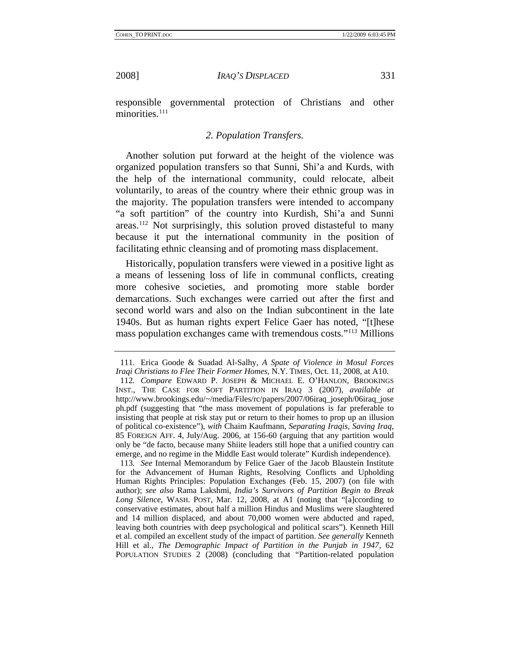<span id="page-31-0"></span>

responsible governmental protection of Christians and other minorities.<sup>[111](#page-31-1)</sup>

# *2. Population Transfers.*

Another solution put forward at the height of the violence was organized population transfers so that Sunni, Shi'a and Kurds, with the help of the international community, could relocate, albeit voluntarily, to areas of the country where their ethnic group was in the majority. The population transfers were intended to accompany "a soft partition" of the country into Kurdish, Shi'a and Sunni areas.[112](#page-31-2) Not surprisingly, this solution proved distasteful to many because it put the international community in the position of facilitating ethnic cleansing and of promoting mass displacement.

Historically, population transfers were viewed in a positive light as a means of lessening loss of life in communal conflicts, creating more cohesive societies, and promoting more stable border demarcations. Such exchanges were carried out after the first and second world wars and also on the Indian subcontinent in the late 1940s. But as human rights expert Felice Gaer has noted, "[t]hese mass population exchanges came with tremendous costs."[113](#page-31-3) Millions

<span id="page-31-1"></span><sup>111.</sup> Erica Goode & Suadad Al-Salhy, *A Spate of Violence in Mosul Forces Iraqi Christians to Flee Their Former Homes*, N.Y. TIMES, Oct. 11, 2008, at A10.

<span id="page-31-2"></span><sup>112</sup>*. Compare* EDWARD P. JOSEPH & MICHAEL E. O'HANLON, BROOKINGS INST., THE CASE FOR SOFT PARTITION IN IRAQ 3 (2007), *available at* http://www.brookings.edu/~/media/Files/rc/papers/2007/06iraq\_joseph/06iraq\_jose ph.pdf (suggesting that "the mass movement of populations is far preferable to insisting that people at risk stay put or return to their homes to prop up an illusion of political co-existence"), *with* Chaim Kaufmann, *Separating Iraqis, Saving Iraq*, 85 FOREIGN AFF. 4, July/Aug. 2006, at 156-60 (arguing that any partition would only be "de facto, because many Shiite leaders still hope that a unified country can emerge, and no regime in the Middle East would tolerate" Kurdish independence).

<span id="page-31-3"></span><sup>113</sup>*. See* Internal Memorandum by Felice Gaer of the Jacob Blaustein Institute for the Advancement of Human Rights, Resolving Conflicts and Upholding Human Rights Principles: Population Exchanges (Feb. 15, 2007) (on file with author); *see also* Rama Lakshmi, *India's Survivors of Partition Begin to Break Long Silence*, WASH. POST, Mar. 12, 2008, at A1 (noting that "[a]ccording to conservative estimates, about half a million Hindus and Muslims were slaughtered and 14 million displaced, and about 70,000 women were abducted and raped, leaving both countries with deep psychological and political scars"). Kenneth Hill et al. compiled an excellent study of the impact of partition. *See generally* Kenneth Hill et al., *The Demographic Impact of Partition in the Punjab in 1947*, 62 POPULATION STUDIES 2 (2008) (concluding that "Partition-related population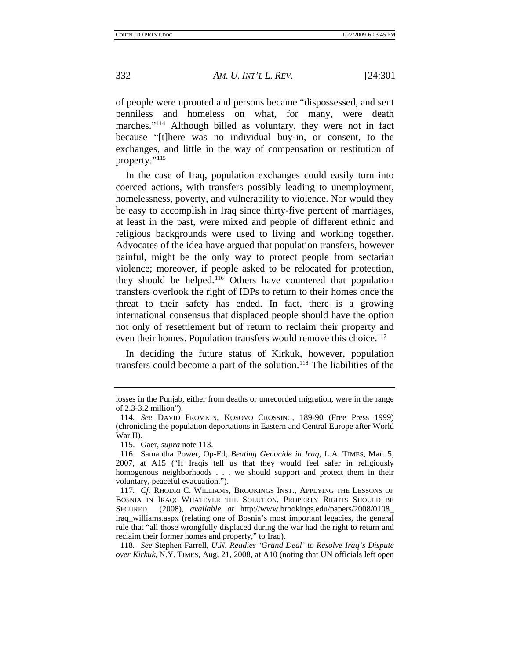of people were uprooted and persons became "dispossessed, and sent penniless and homeless on what, for many, were death marches."<sup>[114](#page-32-0)</sup> Although billed as voluntary, they were not in fact because "[t]here was no individual buy-in, or consent, to the exchanges, and little in the way of compensation or restitution of property."[115](#page-32-1)

In the case of Iraq, population exchanges could easily turn into coerced actions, with transfers possibly leading to unemployment, homelessness, poverty, and vulnerability to violence. Nor would they be easy to accomplish in Iraq since thirty-five percent of marriages, at least in the past, were mixed and people of different ethnic and religious backgrounds were used to living and working together. Advocates of the idea have argued that population transfers, however painful, might be the only way to protect people from sectarian violence; moreover, if people asked to be relocated for protection, they should be helped.[116](#page-32-2) Others have countered that population transfers overlook the right of IDPs to return to their homes once the threat to their safety has ended. In fact, there is a growing international consensus that displaced people should have the option not only of resettlement but of return to reclaim their property and even their homes. Population transfers would remove this choice.<sup>117</sup>

In deciding the future status of Kirkuk, however, population transfers could become a part of the solution.[118](#page-32-4) The liabilities of the

losses in the Punjab, either from deaths or unrecorded migration, were in the range of 2.3-3.2 million").

<span id="page-32-0"></span><sup>114</sup>*. See* DAVID FROMKIN, KOSOVO CROSSING, 189-90 (Free Press 1999) (chronicling the population deportations in Eastern and Central Europe after World War II).

<sup>115.</sup> Gaer, *supra* note 113.

<span id="page-32-2"></span><span id="page-32-1"></span><sup>116.</sup> Samantha Power, Op-Ed, *Beating Genocide in Iraq*, L.A. TIMES, Mar. 5, 2007, at A15 ("If Iraqis tell us that they would feel safer in religiously homogenous neighborhoods . . . we should support and protect them in their voluntary, peaceful evacuation.").

<span id="page-32-3"></span><sup>117</sup>*. Cf.* RHODRI C. WILLIAMS, BROOKINGS INST., APPLYING THE LESSONS OF BOSNIA IN IRAQ: WHATEVER THE SOLUTION, PROPERTY RIGHTS SHOULD BE SECURED (2008), *available at* http://www.brookings.edu/papers/2008/0108\_ iraq\_williams.aspx (relating one of Bosnia's most important legacies, the general rule that "all those wrongfully displaced during the war had the right to return and reclaim their former homes and property," to Iraq).

<span id="page-32-4"></span><sup>118</sup>*. See* Stephen Farrell, *U.N. Readies 'Grand Deal' to Resolve Iraq's Dispute over Kirkuk*, N.Y. TIMES, Aug. 21, 2008, at A10 (noting that UN officials left open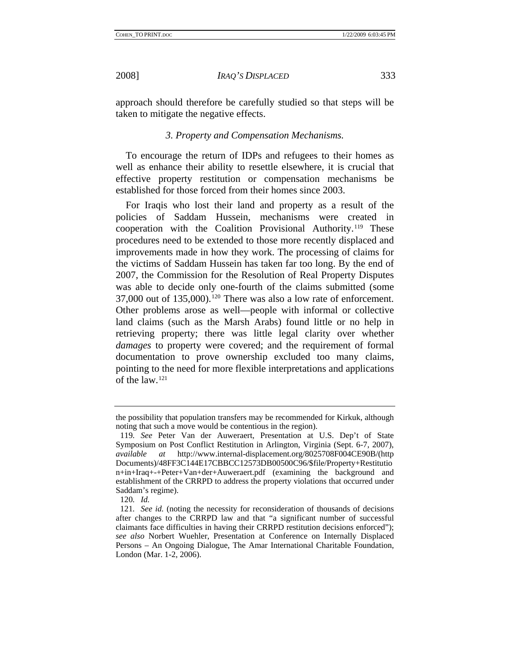<span id="page-33-0"></span>

approach should therefore be carefully studied so that steps will be taken to mitigate the negative effects.

#### *3. Property and Compensation Mechanisms.*

To encourage the return of IDPs and refugees to their homes as well as enhance their ability to resettle elsewhere, it is crucial that effective property restitution or compensation mechanisms be established for those forced from their homes since 2003.

For Iraqis who lost their land and property as a result of the policies of Saddam Hussein, mechanisms were created in cooperation with the Coalition Provisional Authority.[119](#page-33-1) These procedures need to be extended to those more recently displaced and improvements made in how they work. The processing of claims for the victims of Saddam Hussein has taken far too long. By the end of 2007, the Commission for the Resolution of Real Property Disputes was able to decide only one-fourth of the claims submitted (some 37,000 out of 135,000).<sup>[120](#page-33-2)</sup> There was also a low rate of enforcement. Other problems arose as well—people with informal or collective land claims (such as the Marsh Arabs) found little or no help in retrieving property; there was little legal clarity over whether *damages* to property were covered; and the requirement of formal documentation to prove ownership excluded too many claims, pointing to the need for more flexible interpretations and applications of the law[.121](#page-33-3)

the possibility that population transfers may be recommended for Kirkuk, although noting that such a move would be contentious in the region).

<span id="page-33-1"></span><sup>119</sup>*. See* Peter Van der Auweraert, Presentation at U.S. Dep't of State Symposium on Post Conflict Restitution in Arlington, Virginia (Sept. 6-7, 2007), *available at* http://www.internal-displacement.org/8025708F004CE90B/(http Documents)/48FF3C144E17CBBCC12573DB00500C96/\$file/Property+Restitutio n+in+Iraq+-+Peter+Van+der+Auweraert.pdf (examining the background and establishment of the CRRPD to address the property violations that occurred under Saddam's regime).

<sup>120</sup>*. Id.*

<span id="page-33-3"></span><span id="page-33-2"></span><sup>121</sup>*. See id.* (noting the necessity for reconsideration of thousands of decisions after changes to the CRRPD law and that "a significant number of successful claimants face difficulties in having their CRRPD restitution decisions enforced"); *see also* Norbert Wuehler, Presentation at Conference on Internally Displaced Persons – An Ongoing Dialogue, The Amar International Charitable Foundation, London (Mar. 1-2, 2006).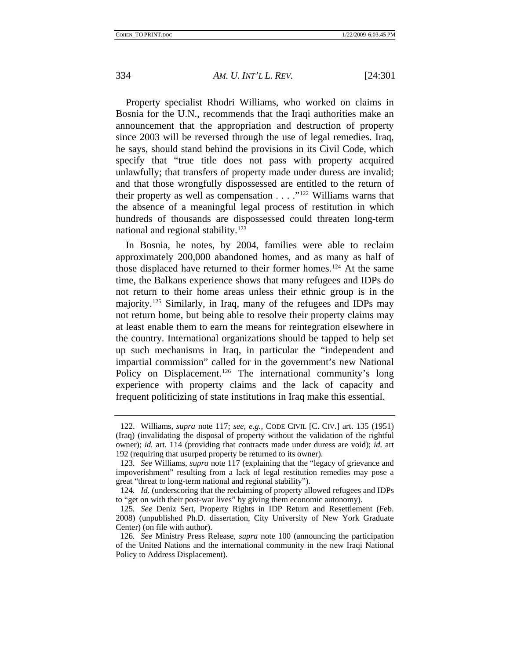Property specialist Rhodri Williams, who worked on claims in Bosnia for the U.N., recommends that the Iraqi authorities make an announcement that the appropriation and destruction of property since 2003 will be reversed through the use of legal remedies. Iraq, he says, should stand behind the provisions in its Civil Code, which specify that "true title does not pass with property acquired unlawfully; that transfers of property made under duress are invalid; and that those wrongfully dispossessed are entitled to the return of their property as well as compensation  $\dots$  ."<sup>[122](#page-34-0)</sup> Williams warns that the absence of a meaningful legal process of restitution in which hundreds of thousands are dispossessed could threaten long-term national and regional stability.<sup>123</sup>

In Bosnia, he notes, by 2004, families were able to reclaim approximately 200,000 abandoned homes, and as many as half of those displaced have returned to their former homes.<sup>[124](#page-34-2)</sup> At the same time, the Balkans experience shows that many refugees and IDPs do not return to their home areas unless their ethnic group is in the majority.[125](#page-34-3) Similarly, in Iraq, many of the refugees and IDPs may not return home, but being able to resolve their property claims may at least enable them to earn the means for reintegration elsewhere in the country. International organizations should be tapped to help set up such mechanisms in Iraq, in particular the "independent and impartial commission" called for in the government's new National Policy on Displacement.<sup>[126](#page-34-4)</sup> The international community's long experience with property claims and the lack of capacity and frequent politicizing of state institutions in Iraq make this essential.

<span id="page-34-0"></span><sup>122.</sup> Williams, *supra* note 117; *see, e.g.*, CODE CIVIL [C. CIV.] art. 135 (1951) (Iraq) (invalidating the disposal of property without the validation of the rightful owner); *id.* art. 114 (providing that contracts made under duress are void); *id.* art 192 (requiring that usurped property be returned to its owner).

<span id="page-34-1"></span><sup>123</sup>*. See* Williams, *supra* note 117 (explaining that the "legacy of grievance and impoverishment" resulting from a lack of legal restitution remedies may pose a great "threat to long-term national and regional stability").

<span id="page-34-2"></span><sup>124</sup>*. Id.* (underscoring that the reclaiming of property allowed refugees and IDPs to "get on with their post-war lives" by giving them economic autonomy).

<span id="page-34-3"></span><sup>125</sup>*. See* Deniz Sert, Property Rights in IDP Return and Resettlement (Feb. 2008) (unpublished Ph.D. dissertation, City University of New York Graduate Center) (on file with author).

<span id="page-34-4"></span><sup>126</sup>*. See* Ministry Press Release, *supra* note 100 (announcing the participation of the United Nations and the international community in the new Iraqi National Policy to Address Displacement).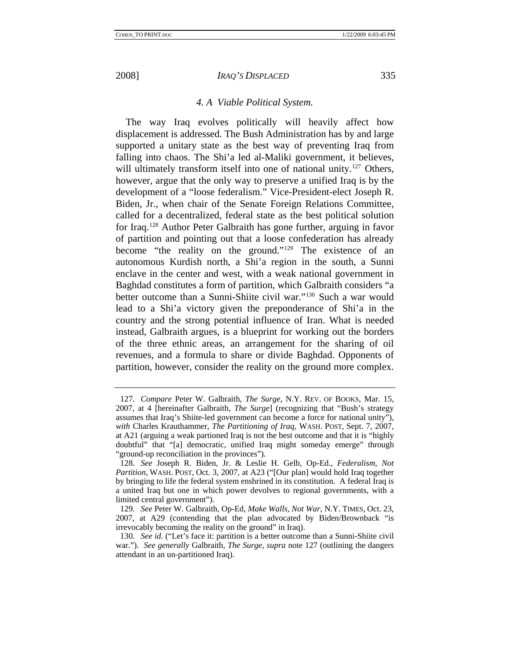<span id="page-35-0"></span>

# *4. A Viable Political System.*

The way Iraq evolves politically will heavily affect how displacement is addressed. The Bush Administration has by and large supported a unitary state as the best way of preventing Iraq from falling into chaos. The Shi'a led al-Maliki government, it believes, will ultimately transform itself into one of national unity.<sup>127</sup> Others, however, argue that the only way to preserve a unified Iraq is by the development of a "loose federalism." Vice-President-elect Joseph R. Biden, Jr., when chair of the Senate Foreign Relations Committee, called for a decentralized, federal state as the best political solution for Iraq.[128](#page-35-2) Author Peter Galbraith has gone further, arguing in favor of partition and pointing out that a loose confederation has already become "the reality on the ground."[129](#page-35-3) The existence of an autonomous Kurdish north, a Shi'a region in the south, a Sunni enclave in the center and west, with a weak national government in Baghdad constitutes a form of partition, which Galbraith considers "a better outcome than a Sunni-Shiite civil war."[130](#page-35-4) Such a war would lead to a Shi'a victory given the preponderance of Shi'a in the country and the strong potential influence of Iran. What is needed instead, Galbraith argues, is a blueprint for working out the borders of the three ethnic areas, an arrangement for the sharing of oil revenues, and a formula to share or divide Baghdad. Opponents of partition, however, consider the reality on the ground more complex.

<span id="page-35-1"></span><sup>127</sup>*. Compare* Peter W. Galbraith, *The Surge*, N.Y. REV. OF BOOKS, Mar. 15, 2007, at 4 [hereinafter Galbraith, *The Surge*] (recognizing that "Bush's strategy assumes that Iraq's Shiite-led government can become a force for national unity"), *with* Charles Krauthammer, *The Partitioning of Iraq*, WASH. POST, Sept. 7, 2007, at A21 (arguing a weak partioned Iraq is not the best outcome and that it is "highly doubtful" that "[a] democratic, unified Iraq might someday emerge" through "ground-up reconciliation in the provinces").

<span id="page-35-2"></span><sup>128</sup>*. See* Joseph R. Biden, Jr. & Leslie H. Gelb, Op-Ed., *Federalism, Not Partition*, WASH. POST, Oct. 3, 2007, at A23 ("[Our plan] would hold Iraq together by bringing to life the federal system enshrined in its constitution. A federal Iraq is a united Iraq but one in which power devolves to regional governments, with a limited central government").

<span id="page-35-3"></span><sup>129</sup>*. See* Peter W. Galbraith, Op-Ed, *Make Walls, Not War*, N.Y. TIMES, Oct. 23, 2007, at A29 (contending that the plan advocated by Biden/Brownback "is irrevocably becoming the reality on the ground" in Iraq).

<span id="page-35-4"></span><sup>130</sup>*. See id.* ("Let's face it: partition is a better outcome than a Sunni-Shiite civil war."). *See generally* Galbraith, *The Surge*, *supra* note 127 (outlining the dangers attendant in an un-partitioned Iraq).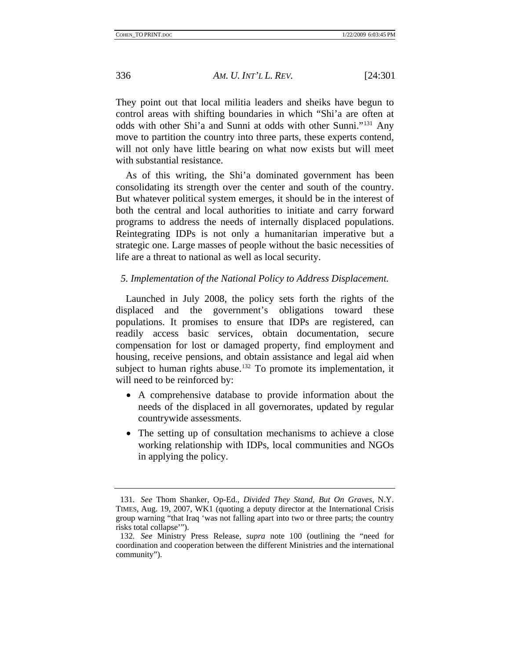<span id="page-36-0"></span>They point out that local militia leaders and sheiks have begun to control areas with shifting boundaries in which "Shi'a are often at odds with other Shi'a and Sunni at odds with other Sunni."[131](#page-36-1) Any move to partition the country into three parts, these experts contend, will not only have little bearing on what now exists but will meet with substantial resistance.

As of this writing, the Shi'a dominated government has been consolidating its strength over the center and south of the country. But whatever political system emerges, it should be in the interest of both the central and local authorities to initiate and carry forward programs to address the needs of internally displaced populations. Reintegrating IDPs is not only a humanitarian imperative but a strategic one. Large masses of people without the basic necessities of life are a threat to national as well as local security.

#### *5. Implementation of the National Policy to Address Displacement.*

Launched in July 2008, the policy sets forth the rights of the displaced and the government's obligations toward these populations. It promises to ensure that IDPs are registered, can readily access basic services, obtain documentation, secure compensation for lost or damaged property, find employment and housing, receive pensions, and obtain assistance and legal aid when subject to human rights abuse.<sup>[132](#page-36-2)</sup> To promote its implementation, it will need to be reinforced by:

- A comprehensive database to provide information about the needs of the displaced in all governorates, updated by regular countrywide assessments.
- The setting up of consultation mechanisms to achieve a close working relationship with IDPs, local communities and NGOs in applying the policy.

<span id="page-36-1"></span><sup>131</sup>*. See* Thom Shanker, Op-Ed., *Divided They Stand, But On Graves*, N.Y. TIMES, Aug. 19, 2007, WK1 (quoting a deputy director at the International Crisis group warning "that Iraq 'was not falling apart into two or three parts; the country risks total collapse'").

<span id="page-36-2"></span><sup>132</sup>*. See* Ministry Press Release, *supra* note 100 (outlining the "need for coordination and cooperation between the different Ministries and the international community").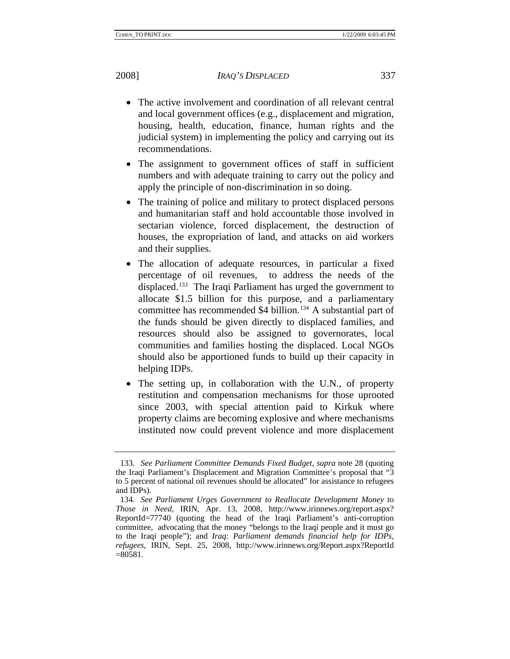- The active involvement and coordination of all relevant central and local government offices (e.g., displacement and migration, housing, health, education, finance, human rights and the judicial system) in implementing the policy and carrying out its recommendations.
- The assignment to government offices of staff in sufficient numbers and with adequate training to carry out the policy and apply the principle of non-discrimination in so doing.
- The training of police and military to protect displaced persons and humanitarian staff and hold accountable those involved in sectarian violence, forced displacement, the destruction of houses, the expropriation of land, and attacks on aid workers and their supplies.
- The allocation of adequate resources, in particular a fixed percentage of oil revenues, to address the needs of the displaced.<sup>[133](#page-37-0)</sup> The Iraqi Parliament has urged the government to allocate \$1.5 billion for this purpose, and a parliamentary committee has recommended \$4 billion.<sup>[134](#page-37-1)</sup> A substantial part of the funds should be given directly to displaced families, and resources should also be assigned to governorates, local communities and families hosting the displaced. Local NGOs should also be apportioned funds to build up their capacity in helping IDPs.
- The setting up, in collaboration with the U.N., of property restitution and compensation mechanisms for those uprooted since 2003, with special attention paid to Kirkuk where property claims are becoming explosive and where mechanisms instituted now could prevent violence and more displacement

<span id="page-37-0"></span><sup>133</sup>*. See Parliament Committee Demands Fixed Budget*, *supra* note 28 (quoting the Iraqi Parliament's Displacement and Migration Committee's proposal that "3 to 5 percent of national oil revenues should be allocated" for assistance to refugees and IDPs).

<span id="page-37-1"></span><sup>134</sup>*. See Parliament Urges Government to Reallocate Development Money to Those in Need*, IRIN, Apr. 13, 2008, http://www.irinnews.org/report.aspx? ReportId=77740 (quoting the head of the Iraqi Parliament's anti-corruption committee, advocating that the money "belongs to the Iraqi people and it must go to the Iraqi people"); and *Iraq: Parliament demands financial help for IDPs, refugees*, IRIN, Sept. 25, 2008, http://www.irinnews.org/Report.aspx?ReportId  $=80581.$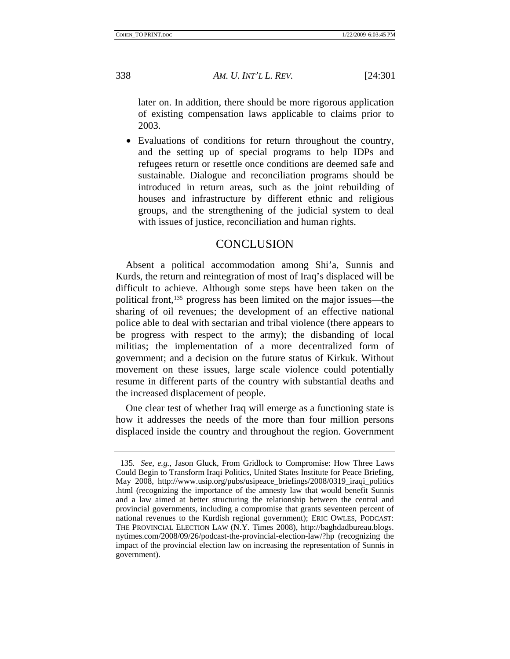<span id="page-38-0"></span>

later on. In addition, there should be more rigorous application of existing compensation laws applicable to claims prior to 2003.

• Evaluations of conditions for return throughout the country, and the setting up of special programs to help IDPs and refugees return or resettle once conditions are deemed safe and sustainable. Dialogue and reconciliation programs should be introduced in return areas, such as the joint rebuilding of houses and infrastructure by different ethnic and religious groups, and the strengthening of the judicial system to deal with issues of justice, reconciliation and human rights.

# **CONCLUSION**

Absent a political accommodation among Shi'a, Sunnis and Kurds, the return and reintegration of most of Iraq's displaced will be difficult to achieve. Although some steps have been taken on the political front,[135](#page-38-1) progress has been limited on the major issues—the sharing of oil revenues; the development of an effective national police able to deal with sectarian and tribal violence (there appears to be progress with respect to the army); the disbanding of local militias; the implementation of a more decentralized form of government; and a decision on the future status of Kirkuk. Without movement on these issues, large scale violence could potentially resume in different parts of the country with substantial deaths and the increased displacement of people.

One clear test of whether Iraq will emerge as a functioning state is how it addresses the needs of the more than four million persons displaced inside the country and throughout the region. Government

<span id="page-38-1"></span><sup>135</sup>*. See, e.g.*, Jason Gluck, From Gridlock to Compromise: How Three Laws Could Begin to Transform Iraqi Politics, United States Institute for Peace Briefing, May 2008, http://www.usip.org/pubs/usipeace\_briefings/2008/0319\_iraqi\_politics .html (recognizing the importance of the amnesty law that would benefit Sunnis and a law aimed at better structuring the relationship between the central and provincial governments, including a compromise that grants seventeen percent of national revenues to the Kurdish regional government); ERIC OWLES, PODCAST: THE PROVINCIAL ELECTION LAW (N.Y. Times 2008), http://baghdadbureau.blogs. nytimes.com/2008/09/26/podcast-the-provincial-election-law/?hp (recognizing the impact of the provincial election law on increasing the representation of Sunnis in government).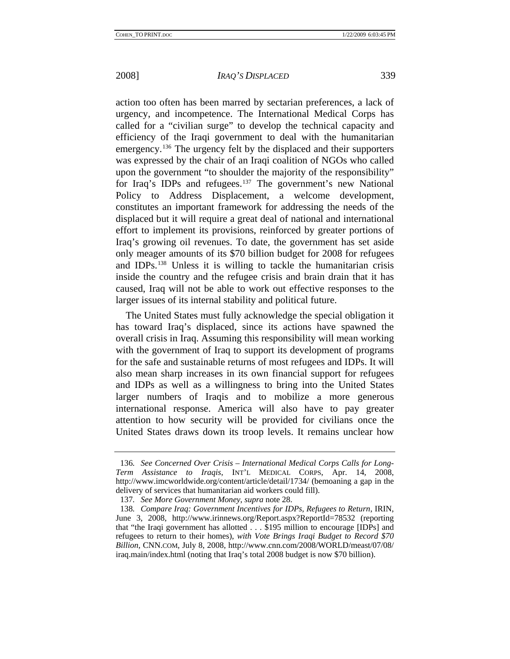action too often has been marred by sectarian preferences, a lack of urgency, and incompetence. The International Medical Corps has called for a "civilian surge" to develop the technical capacity and efficiency of the Iraqi government to deal with the humanitarian emergency.<sup>[136](#page-39-0)</sup> The urgency felt by the displaced and their supporters was expressed by the chair of an Iraqi coalition of NGOs who called upon the government "to shoulder the majority of the responsibility" for Iraq's IDPs and refugees.[137](#page-39-1) The government's new National Policy to Address Displacement, a welcome development, constitutes an important framework for addressing the needs of the displaced but it will require a great deal of national and international effort to implement its provisions, reinforced by greater portions of Iraq's growing oil revenues. To date, the government has set aside only meager amounts of its \$70 billion budget for 2008 for refugees and IDPs.[138](#page-39-2) Unless it is willing to tackle the humanitarian crisis inside the country and the refugee crisis and brain drain that it has caused, Iraq will not be able to work out effective responses to the larger issues of its internal stability and political future.

The United States must fully acknowledge the special obligation it has toward Iraq's displaced, since its actions have spawned the overall crisis in Iraq. Assuming this responsibility will mean working with the government of Iraq to support its development of programs for the safe and sustainable returns of most refugees and IDPs. It will also mean sharp increases in its own financial support for refugees and IDPs as well as a willingness to bring into the United States larger numbers of Iraqis and to mobilize a more generous international response. America will also have to pay greater attention to how security will be provided for civilians once the United States draws down its troop levels. It remains unclear how

<span id="page-39-0"></span><sup>136</sup>*. See Concerned Over Crisis – International Medical Corps Calls for Long-Term Assistance to Iraqis*, INT'L MEDICAL CORPS, Apr. 14, 2008, http://www.imcworldwide.org/content/article/detail/1734/ (bemoaning a gap in the delivery of services that humanitarian aid workers could fill).

<sup>137</sup>*. See More Government Money*, *supra* note 28.

<span id="page-39-2"></span><span id="page-39-1"></span><sup>138</sup>*. Compare Iraq: Government Incentives for IDPs, Refugees to Return*, IRIN, June 3, 2008, http://www.irinnews.org/Report.aspx?ReportId=78532 (reporting that "the Iraqi government has allotted . . . \$195 million to encourage [IDPs] and refugees to return to their homes), *with Vote Brings Iraqi Budget to Record \$70 Billion*, CNN.COM, July 8, 2008, http://www.cnn.com/2008/WORLD/meast/07/08/ iraq.main/index.html (noting that Iraq's total 2008 budget is now \$70 billion).